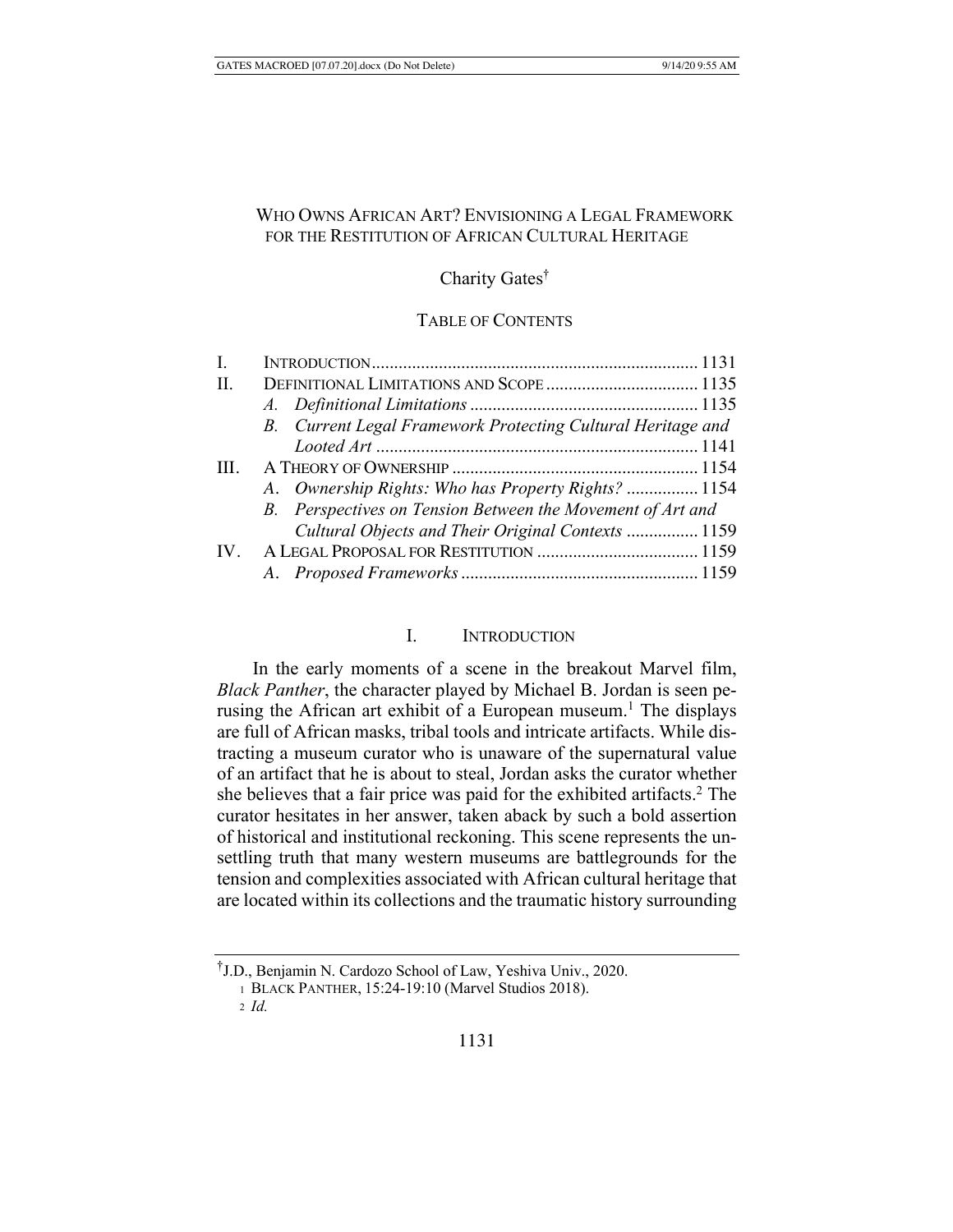# WHO OWNS AFRICAN ART? ENVISIONING A LEGAL FRAMEWORK FOR THE RESTITUTION OF AFRICAN CULTURAL HERITAGE

# Charity Gates†

# TABLE OF CONTENTS

| I.                |                                                             |  |
|-------------------|-------------------------------------------------------------|--|
| H.                | DEFINITIONAL LIMITATIONS AND SCOPE  1135                    |  |
|                   |                                                             |  |
|                   | B. Current Legal Framework Protecting Cultural Heritage and |  |
|                   |                                                             |  |
| TH.               |                                                             |  |
|                   | A. Ownership Rights: Who has Property Rights?  1154         |  |
|                   | B. Perspectives on Tension Between the Movement of Art and  |  |
|                   | Cultural Objects and Their Original Contexts  1159          |  |
| $\mathbf{IV}_{-}$ |                                                             |  |
|                   |                                                             |  |
|                   |                                                             |  |

# I. INTRODUCTION

In the early moments of a scene in the breakout Marvel film, *Black Panther*, the character played by Michael B. Jordan is seen perusing the African art exhibit of a European museum.<sup>1</sup> The displays are full of African masks, tribal tools and intricate artifacts. While distracting a museum curator who is unaware of the supernatural value of an artifact that he is about to steal, Jordan asks the curator whether she believes that a fair price was paid for the exhibited artifacts.<sup>2</sup> The curator hesitates in her answer, taken aback by such a bold assertion of historical and institutional reckoning. This scene represents the unsettling truth that many western museums are battlegrounds for the tension and complexities associated with African cultural heritage that are located within its collections and the traumatic history surrounding

<sup>†</sup> J.D., Benjamin N. Cardozo School of Law, Yeshiva Univ., 2020.

<sup>1</sup> BLACK PANTHER, 15:24-19:10 (Marvel Studios 2018).

<sup>2</sup> *Id.*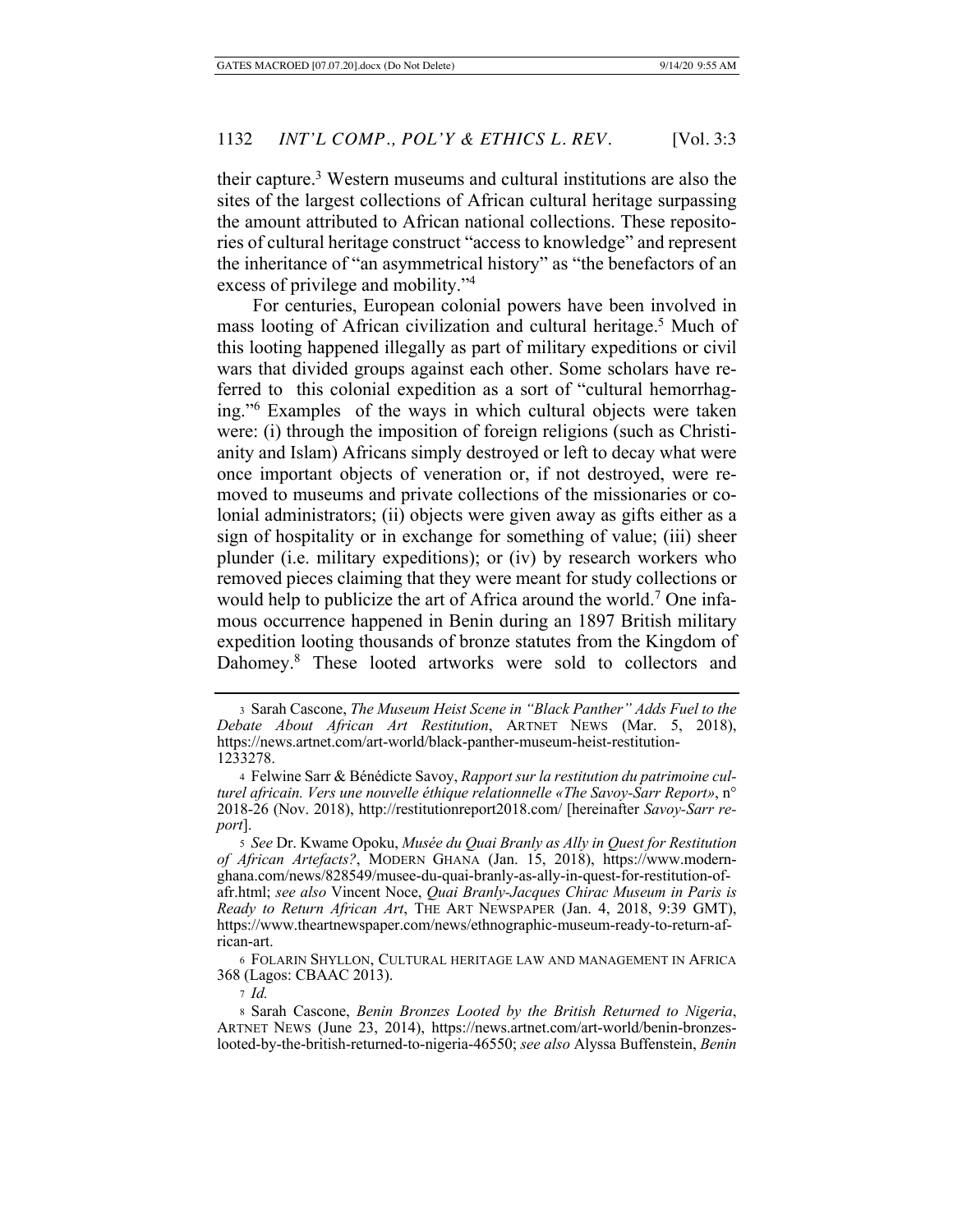their capture.3 Western museums and cultural institutions are also the sites of the largest collections of African cultural heritage surpassing the amount attributed to African national collections. These repositories of cultural heritage construct "access to knowledge" and represent the inheritance of "an asymmetrical history" as "the benefactors of an excess of privilege and mobility."4

For centuries, European colonial powers have been involved in mass looting of African civilization and cultural heritage.<sup>5</sup> Much of this looting happened illegally as part of military expeditions or civil wars that divided groups against each other. Some scholars have referred to this colonial expedition as a sort of "cultural hemorrhaging."6 Examples of the ways in which cultural objects were taken were: (i) through the imposition of foreign religions (such as Christianity and Islam) Africans simply destroyed or left to decay what were once important objects of veneration or, if not destroyed, were removed to museums and private collections of the missionaries or colonial administrators; (ii) objects were given away as gifts either as a sign of hospitality or in exchange for something of value; (iii) sheer plunder (i.e. military expeditions); or (iv) by research workers who removed pieces claiming that they were meant for study collections or would help to publicize the art of Africa around the world.<sup>7</sup> One infamous occurrence happened in Benin during an 1897 British military expedition looting thousands of bronze statutes from the Kingdom of Dahomey.8 These looted artworks were sold to collectors and

<sup>3</sup> Sarah Cascone, *The Museum Heist Scene in "Black Panther" Adds Fuel to the Debate About African Art Restitution*, ARTNET NEWS (Mar. 5, 2018), https://news.artnet.com/art-world/black-panther-museum-heist-restitution-1233278.

<sup>4</sup> Felwine Sarr & Bénédicte Savoy, *Rapport sur la restitution du patrimoine culturel africain. Vers une nouvelle éthique relationnelle «The Savoy-Sarr Report»*, n° 2018-26 (Nov. 2018), http://restitutionreport2018.com/ [hereinafter *Savoy-Sarr report*].

<sup>5</sup> *See* Dr. Kwame Opoku, *Musée du Quai Branly as Ally in Quest for Restitution of African Artefacts?*, MODERN GHANA (Jan. 15, 2018), https://www.modernghana.com/news/828549/musee-du-quai-branly-as-ally-in-quest-for-restitution-ofafr.html; *see also* Vincent Noce, *Quai Branly-Jacques Chirac Museum in Paris is Ready to Return African Art*, THE ART NEWSPAPER (Jan. 4, 2018, 9:39 GMT), https://www.theartnewspaper.com/news/ethnographic-museum-ready-to-return-african-art.

<sup>6</sup> FOLARIN SHYLLON, CULTURAL HERITAGE LAW AND MANAGEMENT IN AFRICA 368 (Lagos: CBAAC 2013).

<sup>7</sup> *Id.*

<sup>8</sup> Sarah Cascone, *Benin Bronzes Looted by the British Returned to Nigeria*, ARTNET NEWS (June 23, 2014), https://news.artnet.com/art-world/benin-bronzeslooted-by-the-british-returned-to-nigeria-46550; *see also* Alyssa Buffenstein, *Benin*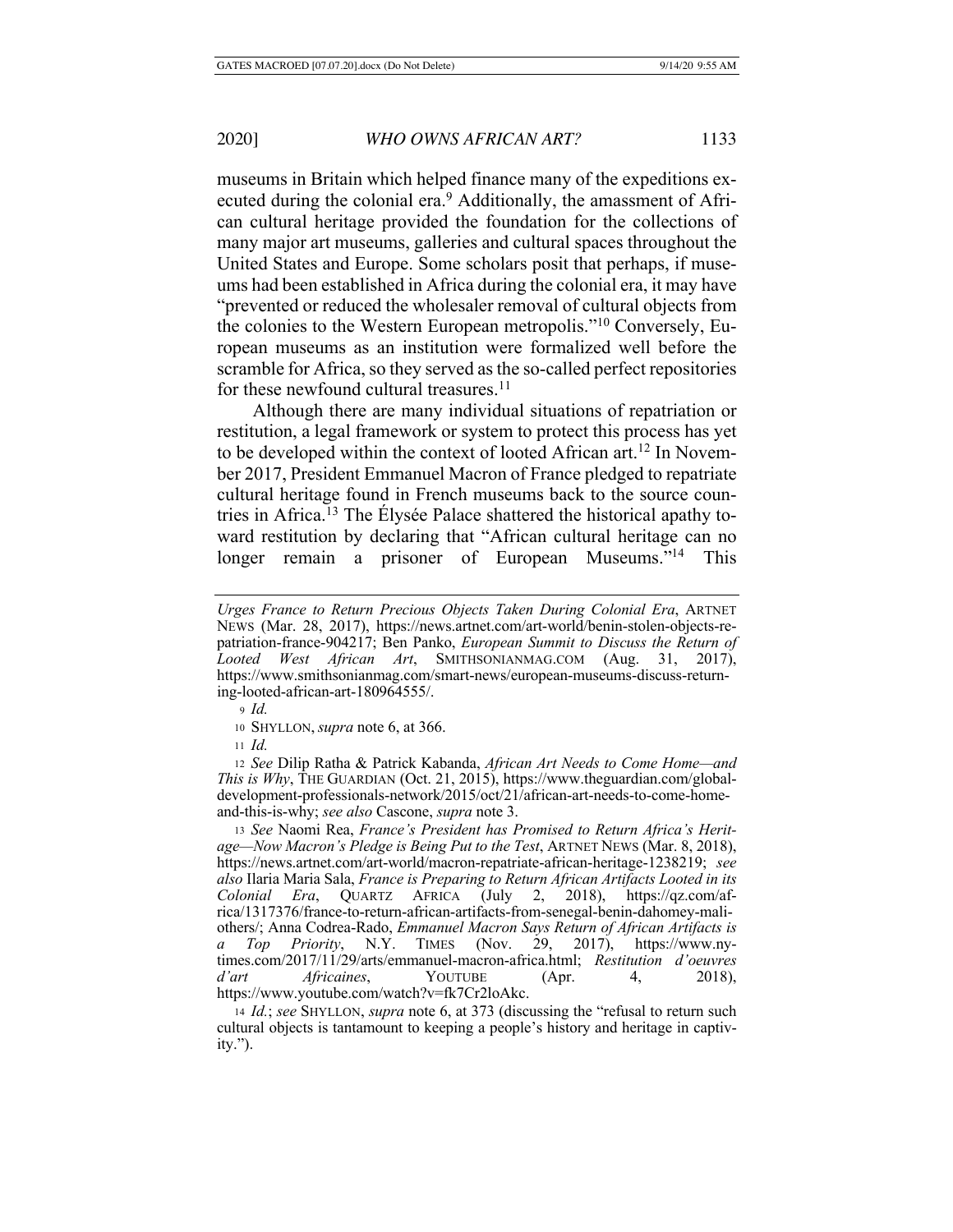museums in Britain which helped finance many of the expeditions executed during the colonial era.<sup>9</sup> Additionally, the amassment of African cultural heritage provided the foundation for the collections of many major art museums, galleries and cultural spaces throughout the United States and Europe. Some scholars posit that perhaps, if museums had been established in Africa during the colonial era, it may have "prevented or reduced the wholesaler removal of cultural objects from the colonies to the Western European metropolis."10 Conversely, European museums as an institution were formalized well before the scramble for Africa, so they served as the so-called perfect repositories for these newfound cultural treasures.<sup>11</sup>

Although there are many individual situations of repatriation or restitution, a legal framework or system to protect this process has yet to be developed within the context of looted African art.<sup>12</sup> In November 2017, President Emmanuel Macron of France pledged to repatriate cultural heritage found in French museums back to the source countries in Africa.13 The Élysée Palace shattered the historical apathy toward restitution by declaring that "African cultural heritage can no longer remain a prisoner of European Museums."<sup>14</sup> This

<sup>9</sup> *Id.*

<sup>11</sup> *Id.* 

<sup>12</sup> *See* Dilip Ratha & Patrick Kabanda, *African Art Needs to Come Home—and This is Why*, THE GUARDIAN (Oct. 21, 2015), https://www.theguardian.com/globaldevelopment-professionals-network/2015/oct/21/african-art-needs-to-come-homeand-this-is-why; *see also* Cascone, *supra* note 3.

<sup>13</sup> *See* Naomi Rea, *France's President has Promised to Return Africa's Heritage—Now Macron's Pledge is Being Put to the Test*, ARTNET NEWS (Mar. 8, 2018), https://news.artnet.com/art-world/macron-repatriate-african-heritage-1238219; *see also* Ilaria Maria Sala, *France is Preparing to Return African Artifacts Looted in its Colonial Era*, QUARTZ AFRICA (July 2, 2018), https://qz.com/africa/1317376/france-to-return-african-artifacts-from-senegal-benin-dahomey-maliothers/; Anna Codrea-Rado, *Emmanuel Macron Says Return of African Artifacts is a Top Priority*, N.Y. TIMES (Nov. 29, 2017), https://www.nytimes.com/2017/11/29/arts/emmanuel-macron-africa.html; *Restitution d'oeuvres d'art Africaines*, YOUTUBE (Apr. 4, 2018), https://www.youtube.com/watch?v=fk7Cr2loAkc.

<sup>14</sup> *Id.*; *see* SHYLLON, *supra* note 6, at 373 (discussing the "refusal to return such cultural objects is tantamount to keeping a people's history and heritage in captivity.").

*Urges France to Return Precious Objects Taken During Colonial Era*, ARTNET NEWS (Mar. 28, 2017), https://news.artnet.com/art-world/benin-stolen-objects-repatriation-france-904217; Ben Panko, *European Summit to Discuss the Return of Looted West African Art*, SMITHSONIANMAG.COM (Aug. 31, 2017), https://www.smithsonianmag.com/smart-news/european-museums-discuss-returning-looted-african-art-180964555/.

<sup>10</sup> SHYLLON, *supra* note 6, at 366.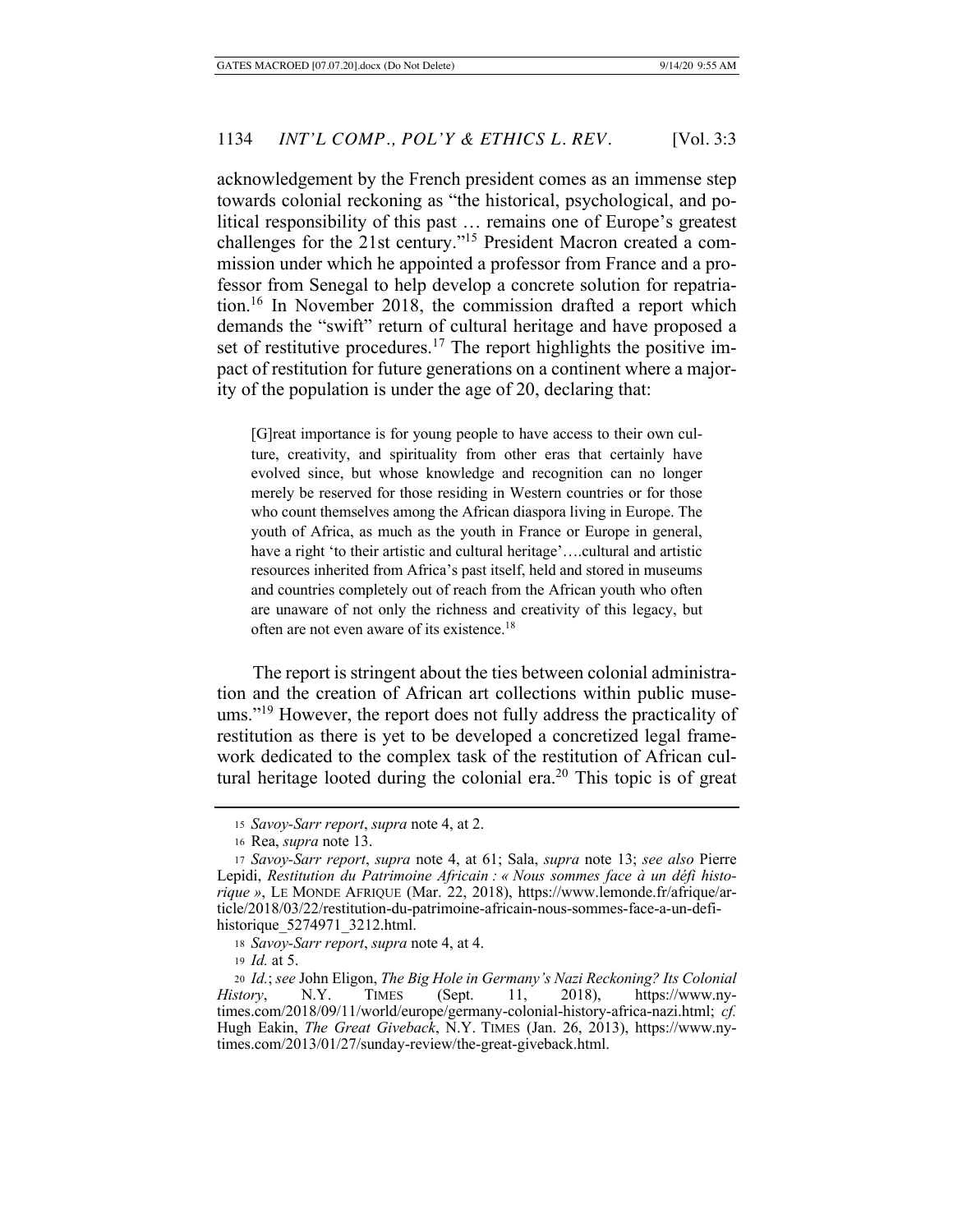acknowledgement by the French president comes as an immense step towards colonial reckoning as "the historical, psychological, and political responsibility of this past … remains one of Europe's greatest challenges for the 21st century."15 President Macron created a commission under which he appointed a professor from France and a professor from Senegal to help develop a concrete solution for repatriation.16 In November 2018, the commission drafted a report which demands the "swift" return of cultural heritage and have proposed a set of restitutive procedures.<sup>17</sup> The report highlights the positive impact of restitution for future generations on a continent where a majority of the population is under the age of 20, declaring that:

[G]reat importance is for young people to have access to their own culture, creativity, and spirituality from other eras that certainly have evolved since, but whose knowledge and recognition can no longer merely be reserved for those residing in Western countries or for those who count themselves among the African diaspora living in Europe. The youth of Africa, as much as the youth in France or Europe in general, have a right 'to their artistic and cultural heritage'….cultural and artistic resources inherited from Africa's past itself, held and stored in museums and countries completely out of reach from the African youth who often are unaware of not only the richness and creativity of this legacy, but often are not even aware of its existence.18

The report is stringent about the ties between colonial administration and the creation of African art collections within public museums."<sup>19</sup> However, the report does not fully address the practicality of restitution as there is yet to be developed a concretized legal framework dedicated to the complex task of the restitution of African cultural heritage looted during the colonial era.<sup>20</sup> This topic is of great

<sup>15</sup> *Savoy-Sarr report*, *supra* note 4, at 2.

<sup>16</sup> Rea, *supra* note 13.

<sup>17</sup> *Savoy-Sarr report*, *supra* note 4, at 61; Sala, *supra* note 13; *see also* Pierre Lepidi, *Restitution du Patrimoine Africain : « Nous sommes face à un défi historique »*, LE MONDE AFRIQUE (Mar. 22, 2018), https://www.lemonde.fr/afrique/article/2018/03/22/restitution-du-patrimoine-africain-nous-sommes-face-a-un-defihistorique\_5274971\_3212.html.

<sup>18</sup> *Savoy-Sarr report*, *supra* note 4, at 4.

<sup>19</sup> *Id.* at 5.

<sup>20</sup> *Id.*; *see* John Eligon, *The Big Hole in Germany's Nazi Reckoning? Its Colonial History*, N.Y. TIMES (Sept. 11, 2018), https://www.nytimes.com/2018/09/11/world/europe/germany-colonial-history-africa-nazi.html; *cf.* Hugh Eakin, *The Great Giveback*, N.Y. TIMES (Jan. 26, 2013), https://www.nytimes.com/2013/01/27/sunday-review/the-great-giveback.html.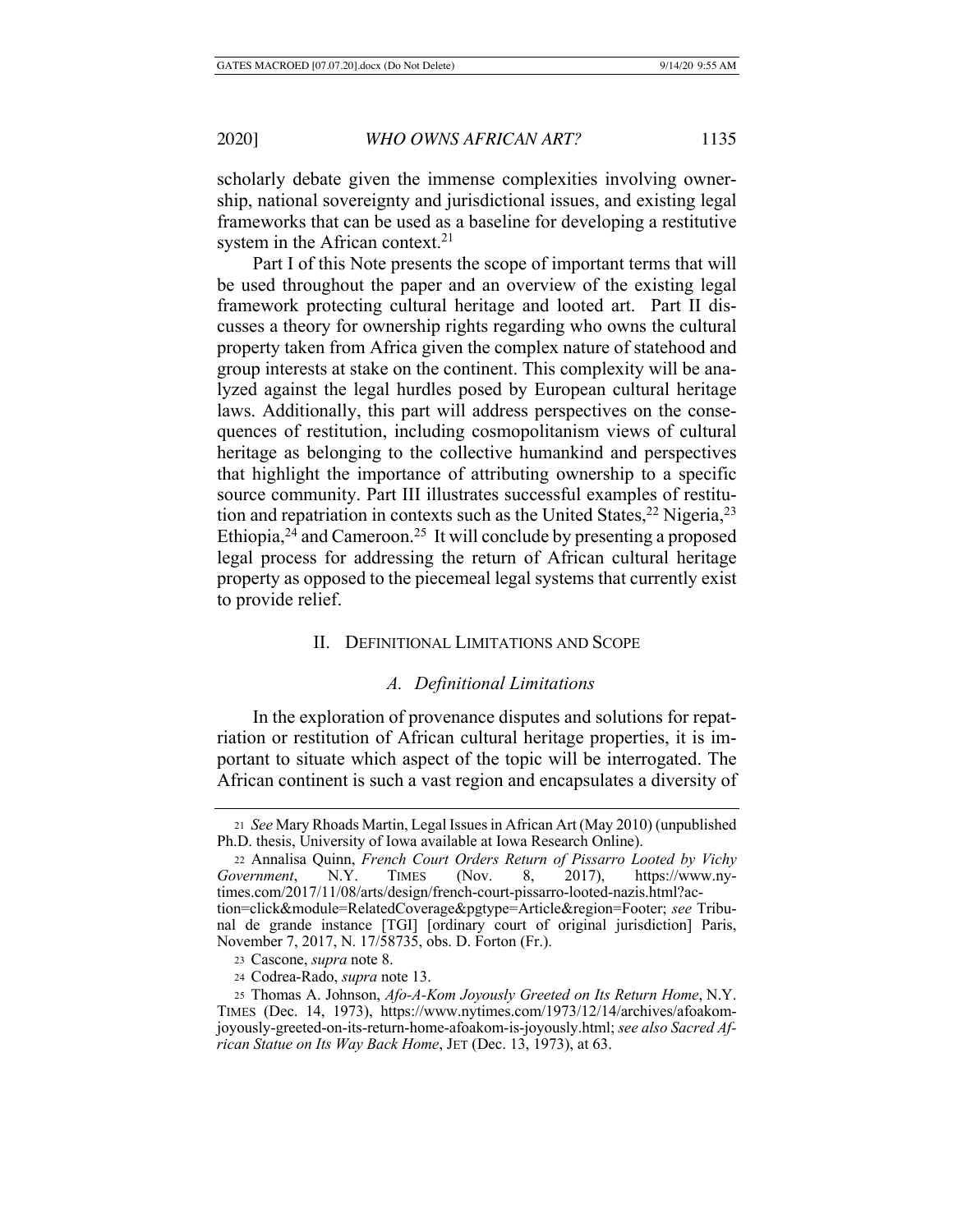scholarly debate given the immense complexities involving ownership, national sovereignty and jurisdictional issues, and existing legal frameworks that can be used as a baseline for developing a restitutive system in the African context.<sup>21</sup>

Part I of this Note presents the scope of important terms that will be used throughout the paper and an overview of the existing legal framework protecting cultural heritage and looted art. Part II discusses a theory for ownership rights regarding who owns the cultural property taken from Africa given the complex nature of statehood and group interests at stake on the continent. This complexity will be analyzed against the legal hurdles posed by European cultural heritage laws. Additionally, this part will address perspectives on the consequences of restitution, including cosmopolitanism views of cultural heritage as belonging to the collective humankind and perspectives that highlight the importance of attributing ownership to a specific source community. Part III illustrates successful examples of restitution and repatriation in contexts such as the United States,  $^{22}$  Nigeria,  $^{23}$ Ethiopia,  $24$  and Cameroon.<sup>25</sup> It will conclude by presenting a proposed legal process for addressing the return of African cultural heritage property as opposed to the piecemeal legal systems that currently exist to provide relief.

## II. DEFINITIONAL LIMITATIONS AND SCOPE

# *A. Definitional Limitations*

In the exploration of provenance disputes and solutions for repatriation or restitution of African cultural heritage properties, it is important to situate which aspect of the topic will be interrogated. The African continent is such a vast region and encapsulates a diversity of

<sup>21</sup> *See* Mary Rhoads Martin, Legal Issues in African Art (May 2010) (unpublished Ph.D. thesis, University of Iowa available at Iowa Research Online).

<sup>22</sup> Annalisa Quinn, *French Court Orders Return of Pissarro Looted by Vichy Government*, N.Y. TIMES (Nov. 8, 2017), https://www.nytimes.com/2017/11/08/arts/design/french-court-pissarro-looted-nazis.html?action=click&module=RelatedCoverage&pgtype=Article&region=Footer; see Tribunal de grande instance [TGI] [ordinary court of original jurisdiction] Paris, November 7, 2017, N. 17/58735, obs. D. Forton (Fr.).

<sup>23</sup> Cascone, *supra* note 8.

<sup>24</sup> Codrea-Rado, *supra* note 13.

<sup>25</sup> Thomas A. Johnson, *Afo-A-Kom Joyously Greeted on Its Return Home*, N.Y. TIMES (Dec. 14, 1973), https://www.nytimes.com/1973/12/14/archives/afoakomjoyously-greeted-on-its-return-home-afoakom-is-joyously.html; *see also Sacred African Statue on Its Way Back Home*, JET (Dec. 13, 1973), at 63.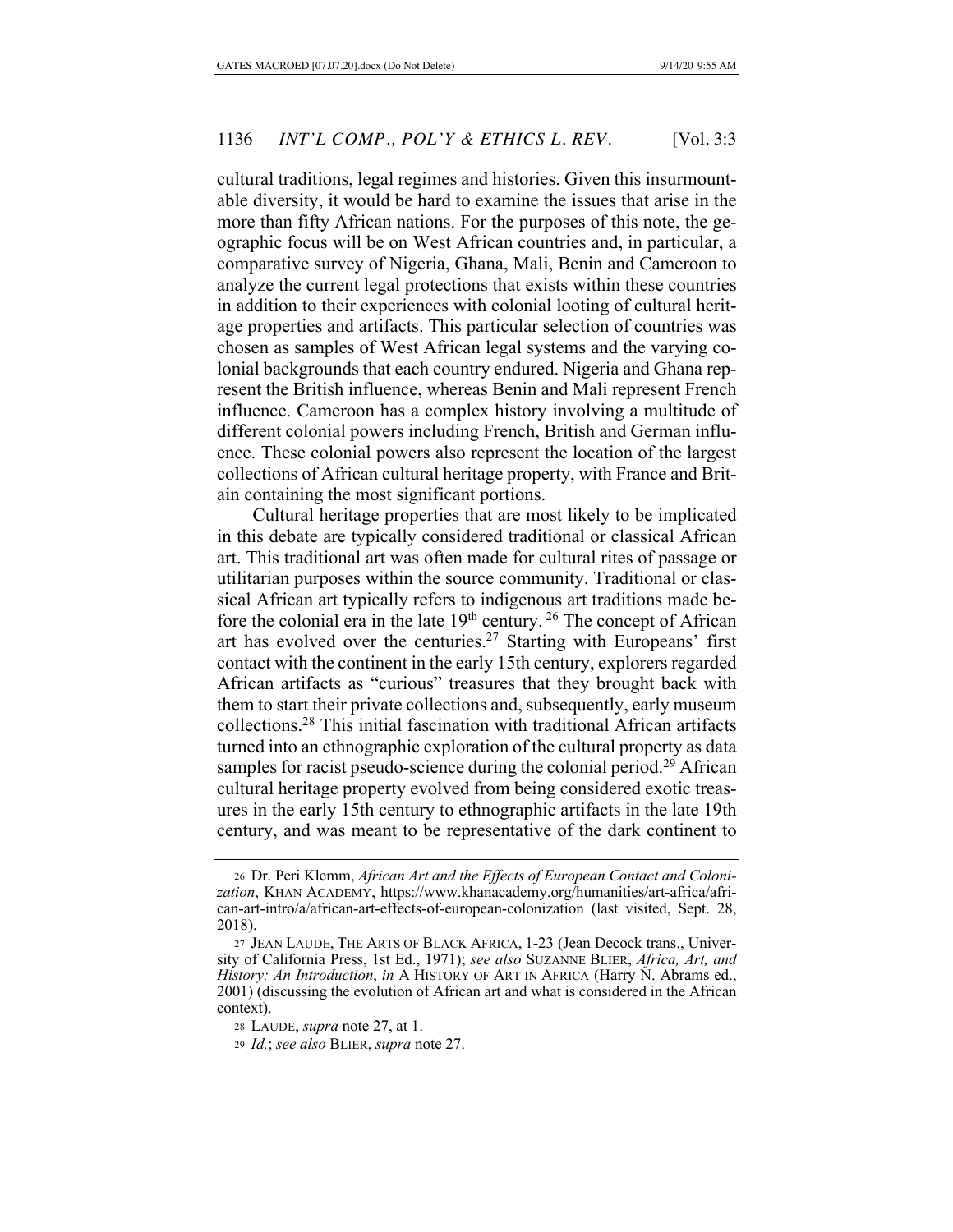cultural traditions, legal regimes and histories. Given this insurmountable diversity, it would be hard to examine the issues that arise in the more than fifty African nations. For the purposes of this note, the geographic focus will be on West African countries and, in particular, a comparative survey of Nigeria, Ghana, Mali, Benin and Cameroon to analyze the current legal protections that exists within these countries in addition to their experiences with colonial looting of cultural heritage properties and artifacts. This particular selection of countries was chosen as samples of West African legal systems and the varying colonial backgrounds that each country endured. Nigeria and Ghana represent the British influence, whereas Benin and Mali represent French influence. Cameroon has a complex history involving a multitude of different colonial powers including French, British and German influence. These colonial powers also represent the location of the largest collections of African cultural heritage property, with France and Britain containing the most significant portions.

Cultural heritage properties that are most likely to be implicated in this debate are typically considered traditional or classical African art. This traditional art was often made for cultural rites of passage or utilitarian purposes within the source community. Traditional or classical African art typically refers to indigenous art traditions made before the colonial era in the late  $19<sup>th</sup>$  century.<sup>26</sup> The concept of African art has evolved over the centuries.<sup>27</sup> Starting with Europeans' first contact with the continent in the early 15th century, explorers regarded African artifacts as "curious" treasures that they brought back with them to start their private collections and, subsequently, early museum collections.28 This initial fascination with traditional African artifacts turned into an ethnographic exploration of the cultural property as data samples for racist pseudo-science during the colonial period.<sup>29</sup> African cultural heritage property evolved from being considered exotic treasures in the early 15th century to ethnographic artifacts in the late 19th century, and was meant to be representative of the dark continent to

<sup>26</sup> Dr. Peri Klemm, *African Art and the Effects of European Contact and Colonization*, KHAN ACADEMY, https://www.khanacademy.org/humanities/art-africa/african-art-intro/a/african-art-effects-of-european-colonization (last visited, Sept. 28, 2018).

<sup>27</sup> JEAN LAUDE, THE ARTS OF BLACK AFRICA, 1-23 (Jean Decock trans., University of California Press, 1st Ed., 1971); *see also* SUZANNE BLIER, *Africa, Art, and History: An Introduction, in* A HISTORY OF ART IN AFRICA (Harry N. Abrams ed., 2001) (discussing the evolution of African art and what is considered in the African context).

<sup>28</sup> LAUDE, *supra* note 27, at 1.

<sup>29</sup> *Id.*; *see also* BLIER, *supra* note 27.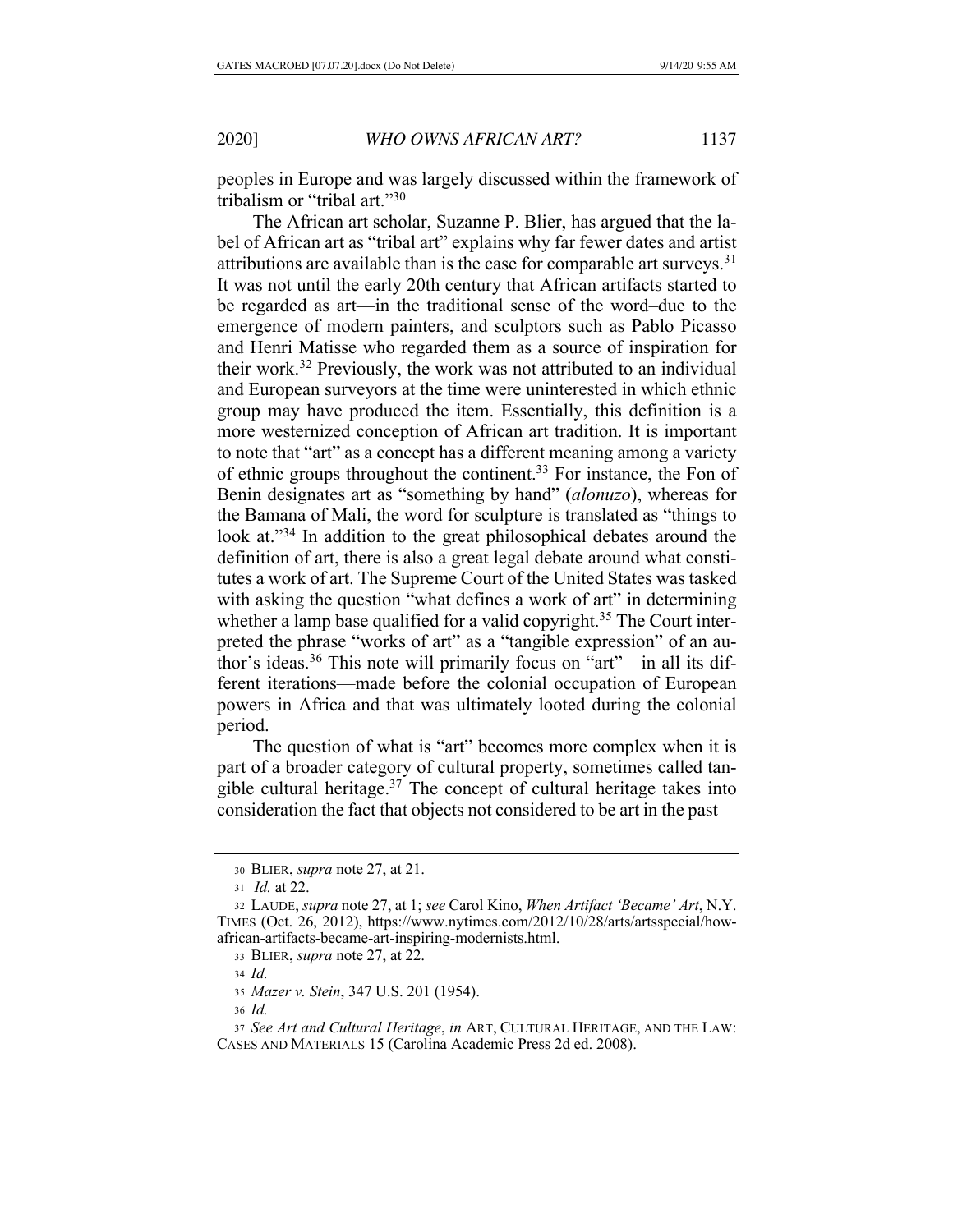peoples in Europe and was largely discussed within the framework of tribalism or "tribal art."30

The African art scholar, Suzanne P. Blier, has argued that the label of African art as "tribal art" explains why far fewer dates and artist attributions are available than is the case for comparable art surveys.<sup>31</sup> It was not until the early 20th century that African artifacts started to be regarded as art—in the traditional sense of the word–due to the emergence of modern painters, and sculptors such as Pablo Picasso and Henri Matisse who regarded them as a source of inspiration for their work.32 Previously, the work was not attributed to an individual and European surveyors at the time were uninterested in which ethnic group may have produced the item. Essentially, this definition is a more westernized conception of African art tradition. It is important to note that "art" as a concept has a different meaning among a variety of ethnic groups throughout the continent.<sup>33</sup> For instance, the Fon of Benin designates art as "something by hand" (*alonuzo*), whereas for the Bamana of Mali, the word for sculpture is translated as "things to look at."<sup>34</sup> In addition to the great philosophical debates around the definition of art, there is also a great legal debate around what constitutes a work of art. The Supreme Court of the United States was tasked with asking the question "what defines a work of art" in determining whether a lamp base qualified for a valid copyright.<sup>35</sup> The Court interpreted the phrase "works of art" as a "tangible expression" of an author's ideas.<sup>36</sup> This note will primarily focus on "art"—in all its different iterations—made before the colonial occupation of European powers in Africa and that was ultimately looted during the colonial period.

The question of what is "art" becomes more complex when it is part of a broader category of cultural property, sometimes called tangible cultural heritage. $37$  The concept of cultural heritage takes into consideration the fact that objects not considered to be art in the past—

<sup>34</sup> *Id.*

<sup>36</sup> *Id.*

<sup>30</sup> BLIER, *supra* note 27, at 21.

<sup>31</sup> *Id.* at 22.

<sup>32</sup> LAUDE, *supra* note 27, at 1; *see* Carol Kino, *When Artifact 'Became' Art*, N.Y. TIMES (Oct. 26, 2012), https://www.nytimes.com/2012/10/28/arts/artsspecial/howafrican-artifacts-became-art-inspiring-modernists.html.

<sup>33</sup> BLIER, *supra* note 27, at 22.

<sup>35</sup> *Mazer v. Stein*, 347 U.S. 201 (1954).

<sup>37</sup> *See Art and Cultural Heritage*, *in* ART, CULTURAL HERITAGE, AND THE LAW: CASES AND MATERIALS 15 (Carolina Academic Press 2d ed. 2008).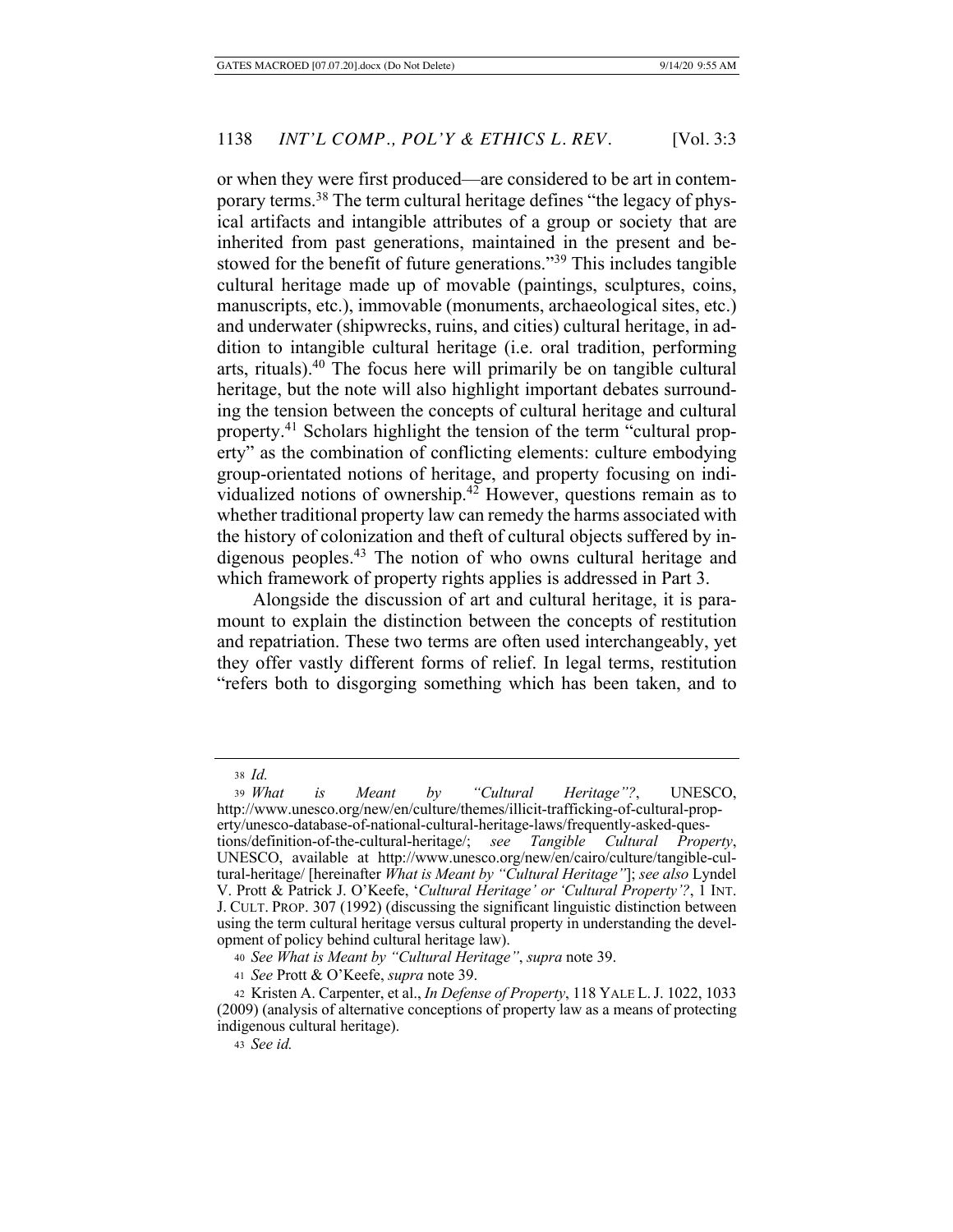or when they were first produced—are considered to be art in contemporary terms.38 The term cultural heritage defines "the legacy of physical artifacts and intangible attributes of a group or society that are inherited from past generations, maintained in the present and bestowed for the benefit of future generations."39 This includes tangible cultural heritage made up of movable (paintings, sculptures, coins, manuscripts, etc.), immovable (monuments, archaeological sites, etc.) and underwater (shipwrecks, ruins, and cities) cultural heritage, in addition to intangible cultural heritage (i.e. oral tradition, performing arts, rituals). $40$  The focus here will primarily be on tangible cultural heritage, but the note will also highlight important debates surrounding the tension between the concepts of cultural heritage and cultural property.41 Scholars highlight the tension of the term "cultural property" as the combination of conflicting elements: culture embodying group-orientated notions of heritage, and property focusing on individualized notions of ownership.42 However, questions remain as to whether traditional property law can remedy the harms associated with the history of colonization and theft of cultural objects suffered by indigenous peoples.43 The notion of who owns cultural heritage and which framework of property rights applies is addressed in Part 3.

Alongside the discussion of art and cultural heritage, it is paramount to explain the distinction between the concepts of restitution and repatriation. These two terms are often used interchangeably, yet they offer vastly different forms of relief. In legal terms, restitution "refers both to disgorging something which has been taken, and to

<sup>38</sup> *Id.*

<sup>39</sup> *What is Meant by "Cultural Heritage"?*, UNESCO, http://www.unesco.org/new/en/culture/themes/illicit-trafficking-of-cultural-property/unesco-database-of-national-cultural-heritage-laws/frequently-asked-ques-

tions/definition-of-the-cultural-heritage/; *see Tangible Cultural Property*, UNESCO, available at http://www.unesco.org/new/en/cairo/culture/tangible-cultural-heritage/ [hereinafter *What is Meant by "Cultural Heritage"*]; *see also* Lyndel V. Prott & Patrick J. O'Keefe, '*Cultural Heritage' or 'Cultural Property'?*, 1 INT. J. CULT. PROP. 307 (1992) (discussing the significant linguistic distinction between using the term cultural heritage versus cultural property in understanding the development of policy behind cultural heritage law).

<sup>40</sup> *See What is Meant by "Cultural Heritage"*, *supra* note 39.

<sup>41</sup> *See* Prott & O'Keefe, *supra* note 39.

<sup>42</sup> Kristen A. Carpenter, et al., *In Defense of Property*, 118 YALE L.J. 1022, 1033 (2009) (analysis of alternative conceptions of property law as a means of protecting indigenous cultural heritage).

<sup>43</sup> *See id.*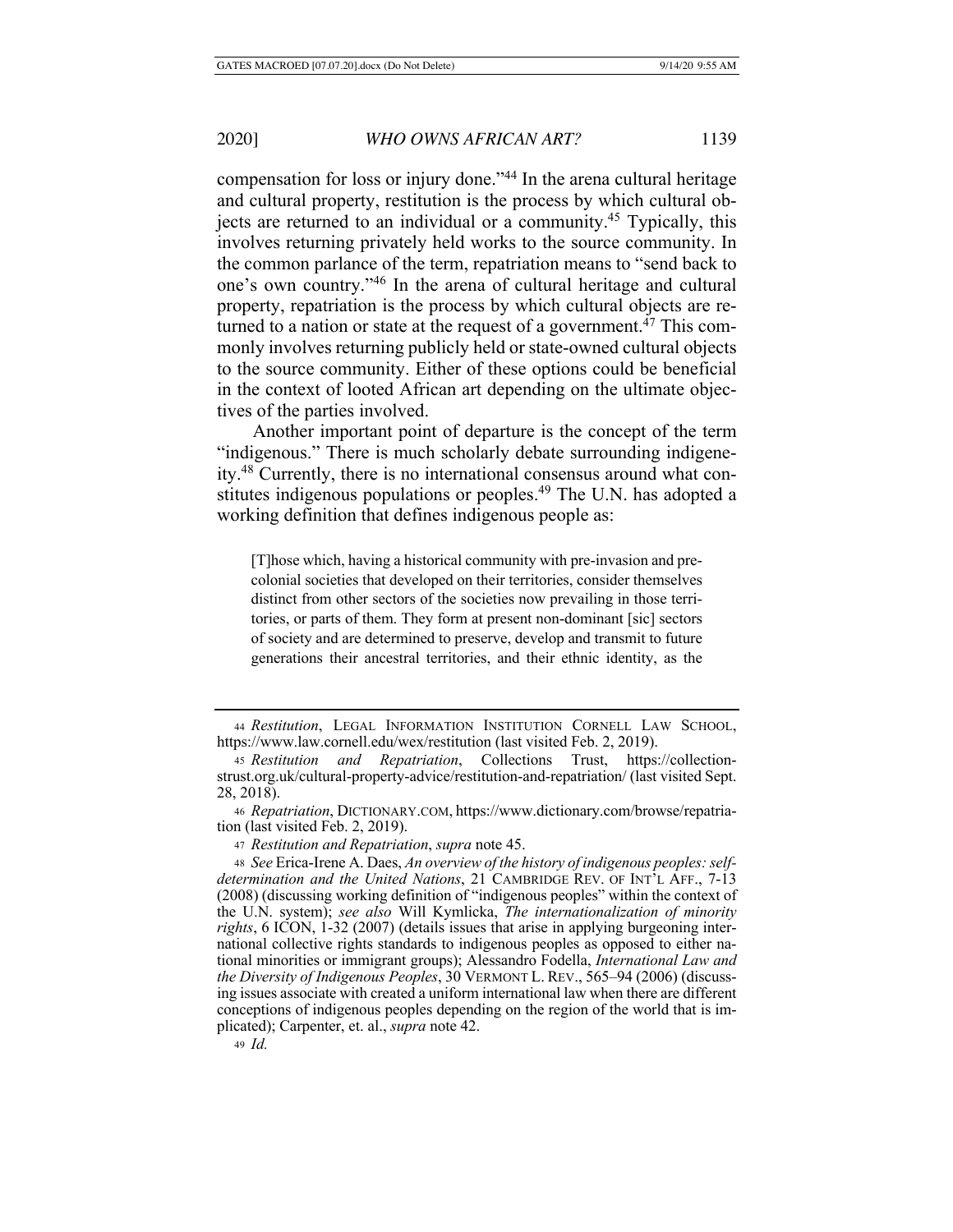compensation for loss or injury done."44 In the arena cultural heritage and cultural property, restitution is the process by which cultural objects are returned to an individual or a community.<sup>45</sup> Typically, this involves returning privately held works to the source community. In the common parlance of the term, repatriation means to "send back to one's own country."46 In the arena of cultural heritage and cultural property, repatriation is the process by which cultural objects are returned to a nation or state at the request of a government.<sup>47</sup> This commonly involves returning publicly held or state-owned cultural objects to the source community. Either of these options could be beneficial in the context of looted African art depending on the ultimate objectives of the parties involved.

Another important point of departure is the concept of the term "indigenous." There is much scholarly debate surrounding indigeneity.48 Currently, there is no international consensus around what constitutes indigenous populations or peoples.<sup>49</sup> The U.N. has adopted a working definition that defines indigenous people as:

[T]hose which, having a historical community with pre-invasion and precolonial societies that developed on their territories, consider themselves distinct from other sectors of the societies now prevailing in those territories, or parts of them. They form at present non-dominant [sic] sectors of society and are determined to preserve, develop and transmit to future generations their ancestral territories, and their ethnic identity, as the

<sup>49</sup> *Id.*

<sup>44</sup> *Restitution*, LEGAL INFORMATION INSTITUTION CORNELL LAW SCHOOL, https://www.law.cornell.edu/wex/restitution (last visited Feb. 2, 2019).

<sup>45</sup> *Restitution and Repatriation*, Collections Trust, https://collectionstrust.org.uk/cultural-property-advice/restitution-and-repatriation/ (last visited Sept. 28, 2018).

<sup>46</sup> *Repatriation*, DICTIONARY.COM, https://www.dictionary.com/browse/repatriation (last visited Feb. 2, 2019).

<sup>47</sup> *Restitution and Repatriation*, *supra* note 45.

<sup>48</sup> *See* Erica-Irene A. Daes, *An overview of the history of indigenous peoples: selfdetermination and the United Nations*, 21 CAMBRIDGE REV. OF INT'L AFF., 7-13 (2008) (discussing working definition of "indigenous peoples" within the context of the U.N. system); *see also* Will Kymlicka, *The internationalization of minority rights*, 6 ICON, 1-32 (2007) (details issues that arise in applying burgeoning international collective rights standards to indigenous peoples as opposed to either national minorities or immigrant groups); Alessandro Fodella, *International Law and the Diversity of Indigenous Peoples*, 30 VERMONT L. REV., 565–94 (2006) (discussing issues associate with created a uniform international law when there are different conceptions of indigenous peoples depending on the region of the world that is implicated); Carpenter, et. al., *supra* note 42.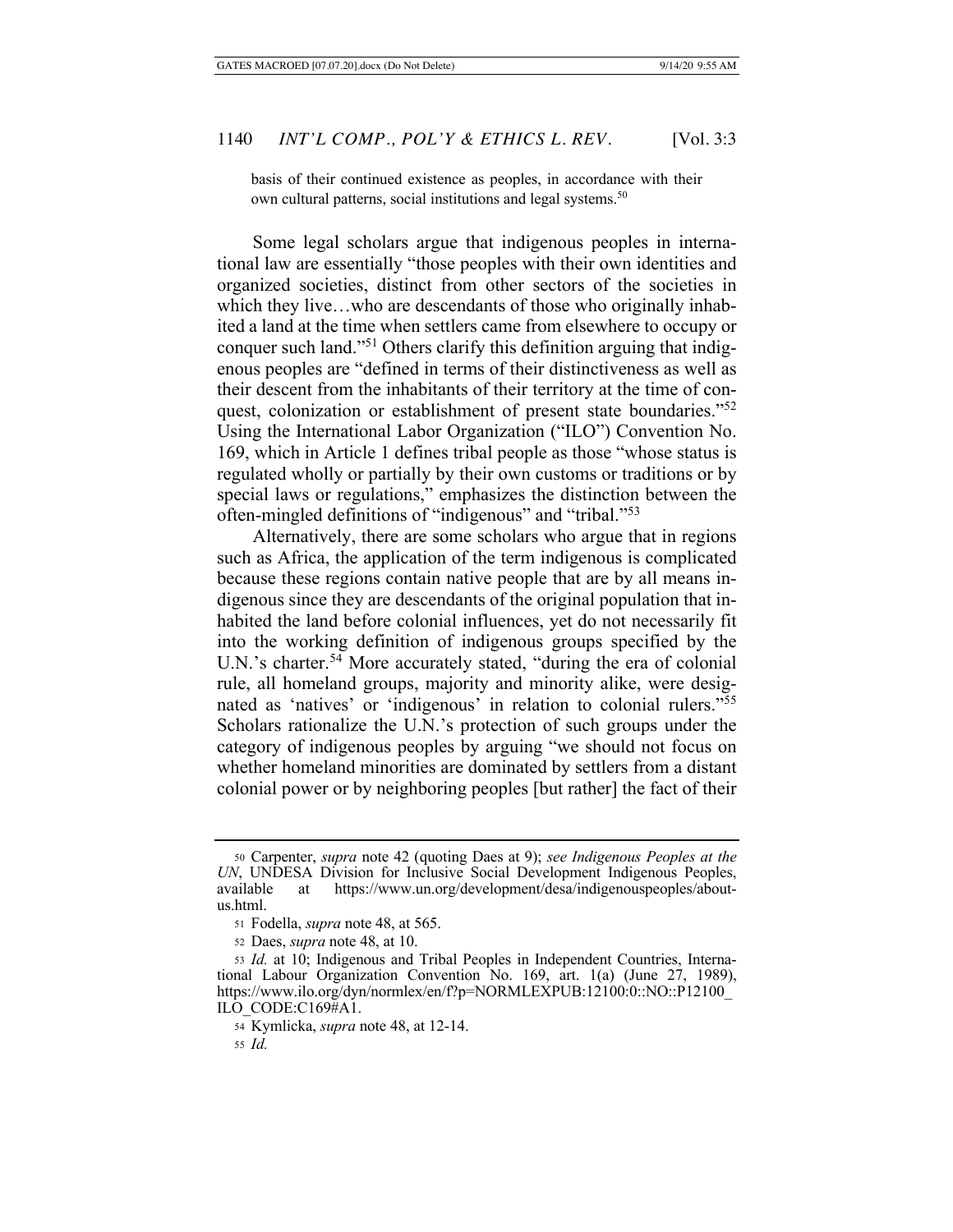basis of their continued existence as peoples, in accordance with their own cultural patterns, social institutions and legal systems.<sup>50</sup>

Some legal scholars argue that indigenous peoples in international law are essentially "those peoples with their own identities and organized societies, distinct from other sectors of the societies in which they live…who are descendants of those who originally inhabited a land at the time when settlers came from elsewhere to occupy or conquer such land."51 Others clarify this definition arguing that indigenous peoples are "defined in terms of their distinctiveness as well as their descent from the inhabitants of their territory at the time of conquest, colonization or establishment of present state boundaries."<sup>52</sup> Using the International Labor Organization ("ILO") Convention No. 169, which in Article 1 defines tribal people as those "whose status is regulated wholly or partially by their own customs or traditions or by special laws or regulations," emphasizes the distinction between the often-mingled definitions of "indigenous" and "tribal."53

Alternatively, there are some scholars who argue that in regions such as Africa, the application of the term indigenous is complicated because these regions contain native people that are by all means indigenous since they are descendants of the original population that inhabited the land before colonial influences, yet do not necessarily fit into the working definition of indigenous groups specified by the U.N.'s charter.<sup>54</sup> More accurately stated, "during the era of colonial rule, all homeland groups, majority and minority alike, were designated as 'natives' or 'indigenous' in relation to colonial rulers."55 Scholars rationalize the U.N.'s protection of such groups under the category of indigenous peoples by arguing "we should not focus on whether homeland minorities are dominated by settlers from a distant colonial power or by neighboring peoples [but rather] the fact of their

<sup>50</sup> Carpenter, *supra* note 42 (quoting Daes at 9); *see Indigenous Peoples at the UN*, UNDESA Division for Inclusive Social Development Indigenous Peoples, available at https://www.un.org/development/desa/indigenouspeoples/aboutus.html.

<sup>51</sup> Fodella, *supra* note 48, at 565.

<sup>52</sup> Daes, *supra* note 48, at 10.

<sup>53</sup> *Id.* at 10; Indigenous and Tribal Peoples in Independent Countries, International Labour Organization Convention No. 169, art. 1(a) (June 27, 1989), https://www.ilo.org/dyn/normlex/en/f?p=NORMLEXPUB:12100:0::NO::P12100 ILO\_CODE:C169#A1.

<sup>54</sup> Kymlicka, *supra* note 48, at 12-14.

<sup>55</sup> *Id.*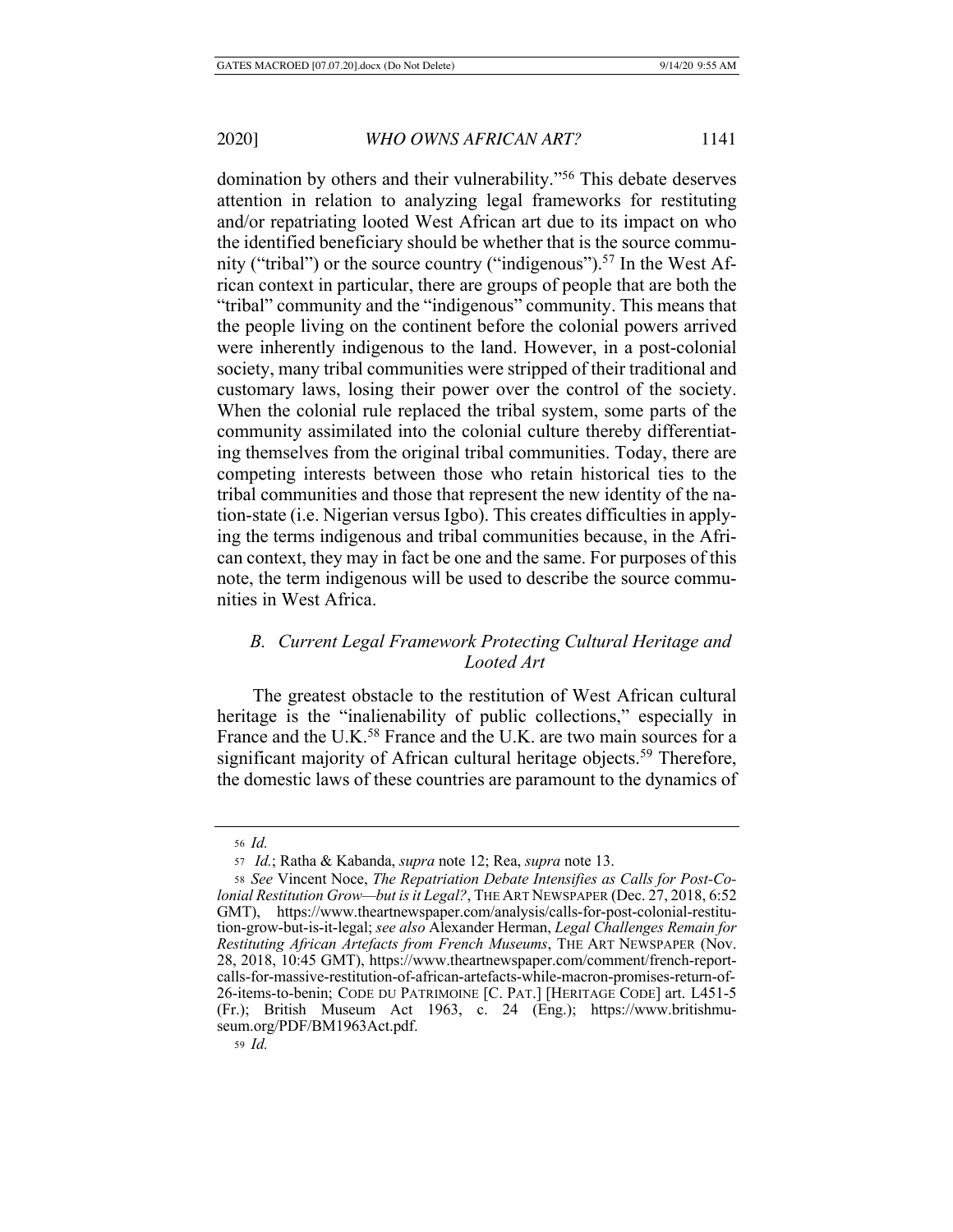domination by others and their vulnerability."<sup>56</sup> This debate deserves attention in relation to analyzing legal frameworks for restituting and/or repatriating looted West African art due to its impact on who the identified beneficiary should be whether that is the source community ("tribal") or the source country ("indigenous").<sup>57</sup> In the West African context in particular, there are groups of people that are both the "tribal" community and the "indigenous" community. This means that the people living on the continent before the colonial powers arrived were inherently indigenous to the land. However, in a post-colonial society, many tribal communities were stripped of their traditional and customary laws, losing their power over the control of the society. When the colonial rule replaced the tribal system, some parts of the community assimilated into the colonial culture thereby differentiating themselves from the original tribal communities. Today, there are competing interests between those who retain historical ties to the tribal communities and those that represent the new identity of the nation-state (i.e. Nigerian versus Igbo). This creates difficulties in applying the terms indigenous and tribal communities because, in the African context, they may in fact be one and the same. For purposes of this note, the term indigenous will be used to describe the source communities in West Africa.

# *B. Current Legal Framework Protecting Cultural Heritage and Looted Art*

The greatest obstacle to the restitution of West African cultural heritage is the "inalienability of public collections," especially in France and the U.K.<sup>58</sup> France and the U.K. are two main sources for a significant majority of African cultural heritage objects.<sup>59</sup> Therefore, the domestic laws of these countries are paramount to the dynamics of

<sup>56</sup> *Id.*

<sup>57</sup> *Id.*; Ratha & Kabanda, *supra* note 12; Rea, *supra* note 13.

<sup>58</sup> *See* Vincent Noce, *The Repatriation Debate Intensifies as Calls for Post-Colonial Restitution Grow—but is it Legal?*, THE ART NEWSPAPER (Dec. 27, 2018, 6:52 GMT), https://www.theartnewspaper.com/analysis/calls-for-post-colonial-restitution-grow-but-is-it-legal; *see also* Alexander Herman, *Legal Challenges Remain for Restituting African Artefacts from French Museums*, THE ART NEWSPAPER (Nov. 28, 2018, 10:45 GMT), https://www.theartnewspaper.com/comment/french-reportcalls-for-massive-restitution-of-african-artefacts-while-macron-promises-return-of-26-items-to-benin; CODE DU PATRIMOINE [C. PAT.] [HERITAGE CODE] art. L451-5 (Fr.); British Museum Act 1963, c. 24 (Eng.); https://www.britishmuseum.org/PDF/BM1963Act.pdf.

<sup>59</sup> *Id.*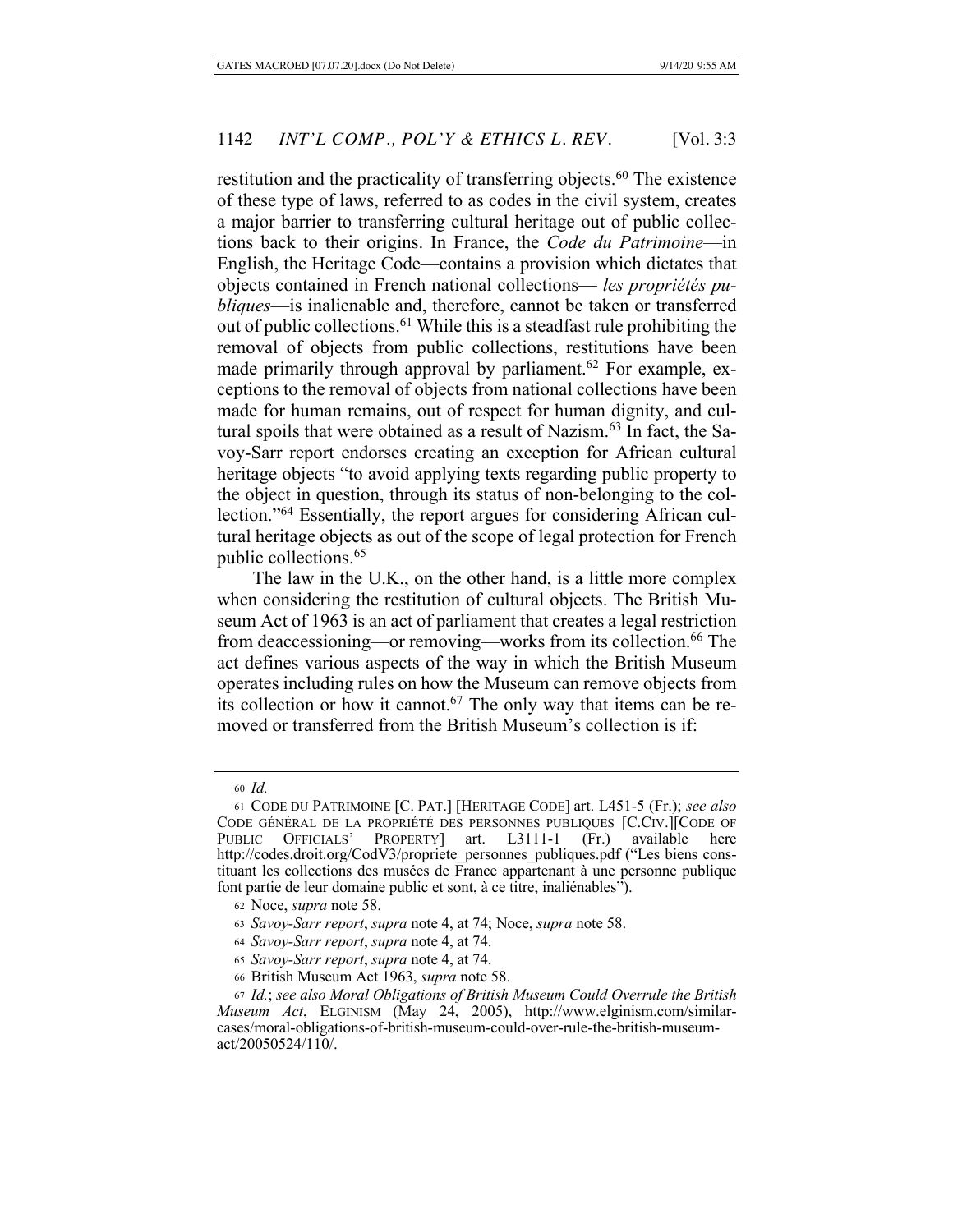restitution and the practicality of transferring objects.<sup>60</sup> The existence of these type of laws, referred to as codes in the civil system, creates a major barrier to transferring cultural heritage out of public collections back to their origins. In France, the *Code du Patrimoine*—in English, the Heritage Code—contains a provision which dictates that objects contained in French national collections— *les propriétés publiques*—is inalienable and, therefore, cannot be taken or transferred out of public collections.61 While this is a steadfast rule prohibiting the removal of objects from public collections, restitutions have been made primarily through approval by parliament.<sup>62</sup> For example, exceptions to the removal of objects from national collections have been made for human remains, out of respect for human dignity, and cultural spoils that were obtained as a result of Nazism.<sup>63</sup> In fact, the Savoy-Sarr report endorses creating an exception for African cultural heritage objects "to avoid applying texts regarding public property to the object in question, through its status of non-belonging to the collection."64 Essentially, the report argues for considering African cultural heritage objects as out of the scope of legal protection for French public collections.<sup>65</sup>

The law in the U.K., on the other hand, is a little more complex when considering the restitution of cultural objects. The British Museum Act of 1963 is an act of parliament that creates a legal restriction from deaccessioning—or removing—works from its collection.<sup>66</sup> The act defines various aspects of the way in which the British Museum operates including rules on how the Museum can remove objects from its collection or how it cannot.<sup>67</sup> The only way that items can be removed or transferred from the British Museum's collection is if:

<sup>60</sup> *Id.*

<sup>61</sup> CODE DU PATRIMOINE [C. PAT.] [HERITAGE CODE] art. L451-5 (Fr.); *see also* CODE GÉNÉRAL DE LA PROPRIÉTÉ DES PERSONNES PUBLIQUES [C.CIV.][CODE OF PUBLIC OFFICIALS' PROPERTY] art. L3111-1 (Fr.) available here http://codes.droit.org/CodV3/propriete\_personnes\_publiques.pdf ("Les biens constituant les collections des musées de France appartenant à une personne publique font partie de leur domaine public et sont, à ce titre, inaliénables").

<sup>62</sup> Noce, *supra* note 58.

<sup>63</sup> *Savoy-Sarr report*, *supra* note 4, at 74; Noce, *supra* note 58.

<sup>64</sup> *Savoy-Sarr report*, *supra* note 4, at 74.

<sup>65</sup> *Savoy-Sarr report*, *supra* note 4, at 74.

<sup>66</sup> British Museum Act 1963, *supra* note 58.

<sup>67</sup> *Id.*; *see also Moral Obligations of British Museum Could Overrule the British Museum Act*, ELGINISM (May 24, 2005), http://www.elginism.com/similarcases/moral-obligations-of-british-museum-could-over-rule-the-british-museumact/20050524/110/.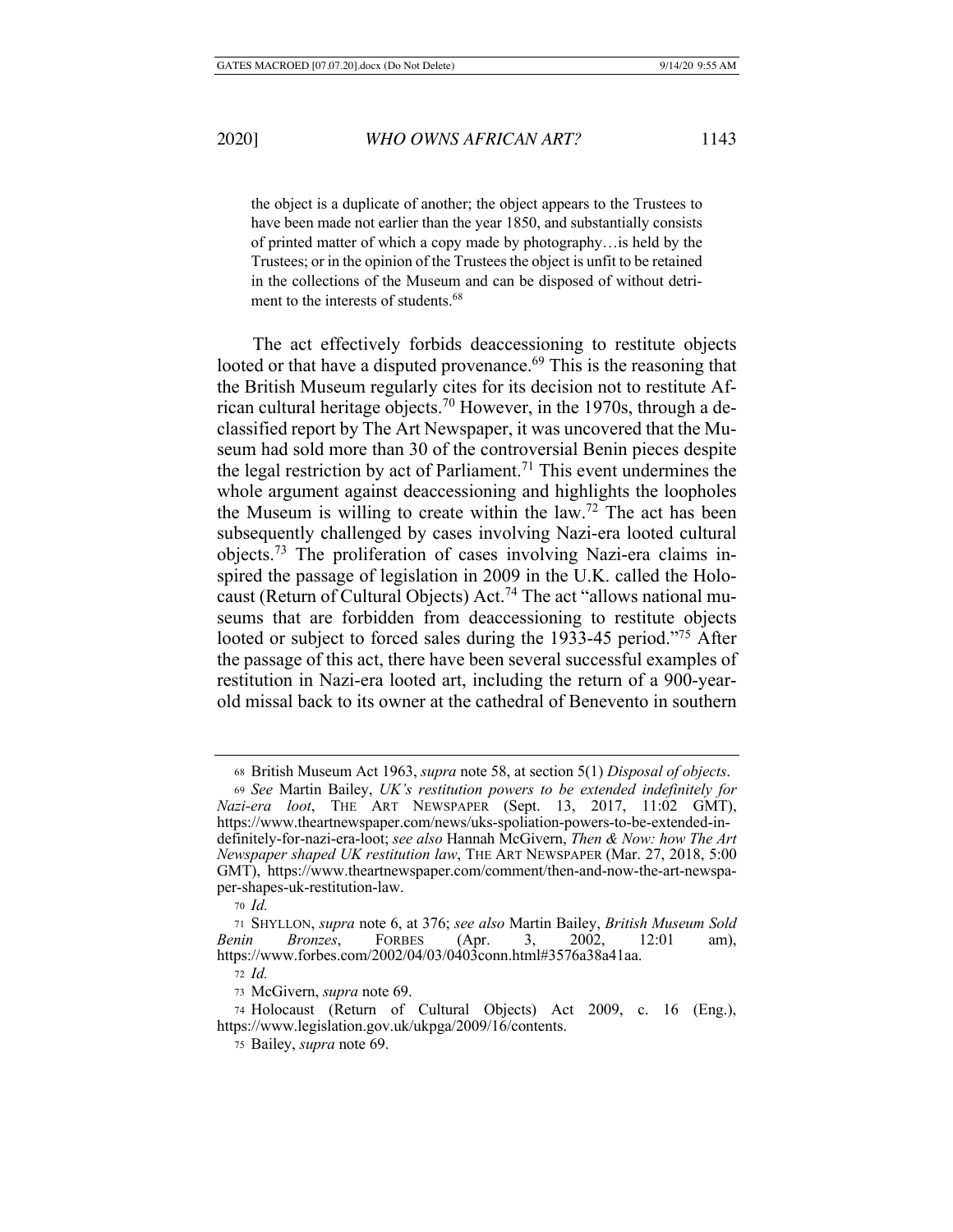the object is a duplicate of another; the object appears to the Trustees to have been made not earlier than the year 1850, and substantially consists of printed matter of which a copy made by photography…is held by the Trustees; or in the opinion of the Trustees the object is unfit to be retained in the collections of the Museum and can be disposed of without detriment to the interests of students.<sup>68</sup>

The act effectively forbids deaccessioning to restitute objects looted or that have a disputed provenance.<sup>69</sup> This is the reasoning that the British Museum regularly cites for its decision not to restitute African cultural heritage objects.70 However, in the 1970s, through a declassified report by The Art Newspaper, it was uncovered that the Museum had sold more than 30 of the controversial Benin pieces despite the legal restriction by act of Parliament.<sup>71</sup> This event undermines the whole argument against deaccessioning and highlights the loopholes the Museum is willing to create within the law.72 The act has been subsequently challenged by cases involving Nazi-era looted cultural objects.73 The proliferation of cases involving Nazi-era claims inspired the passage of legislation in 2009 in the U.K. called the Holocaust (Return of Cultural Objects) Act.74 The act "allows national museums that are forbidden from deaccessioning to restitute objects looted or subject to forced sales during the 1933-45 period."<sup>75</sup> After the passage of this act, there have been several successful examples of restitution in Nazi-era looted art, including the return of a 900-yearold missal back to its owner at the cathedral of Benevento in southern

<sup>72</sup> *Id.*

<sup>68</sup> British Museum Act 1963, *supra* note 58, at section 5(1) *Disposal of objects*.

<sup>69</sup> *See* Martin Bailey, *UK's restitution powers to be extended indefinitely for Nazi-era loot*, THE ART NEWSPAPER (Sept. 13, 2017, 11:02 GMT), https://www.theartnewspaper.com/news/uks-spoliation-powers-to-be-extended-indefinitely-for-nazi-era-loot; *see also* Hannah McGivern, *Then & Now: how The Art Newspaper shaped UK restitution law*, THE ART NEWSPAPER (Mar. 27, 2018, 5:00 GMT), https://www.theartnewspaper.com/comment/then-and-now-the-art-newspaper-shapes-uk-restitution-law.

<sup>70</sup> *Id.*

<sup>71</sup> SHYLLON, *supra* note 6, at 376; *see also* Martin Bailey, *British Museum Sold Benin Bronzes*, FORBES (Apr. 3, 2002, 12:01 am), https://www.forbes.com/2002/04/03/0403conn.html#3576a38a41aa.

<sup>73</sup> McGivern, *supra* note 69.

<sup>74</sup> Holocaust (Return of Cultural Objects) Act 2009, c. 16 (Eng.), https://www.legislation.gov.uk/ukpga/2009/16/contents.

<sup>75</sup> Bailey, *supra* note 69.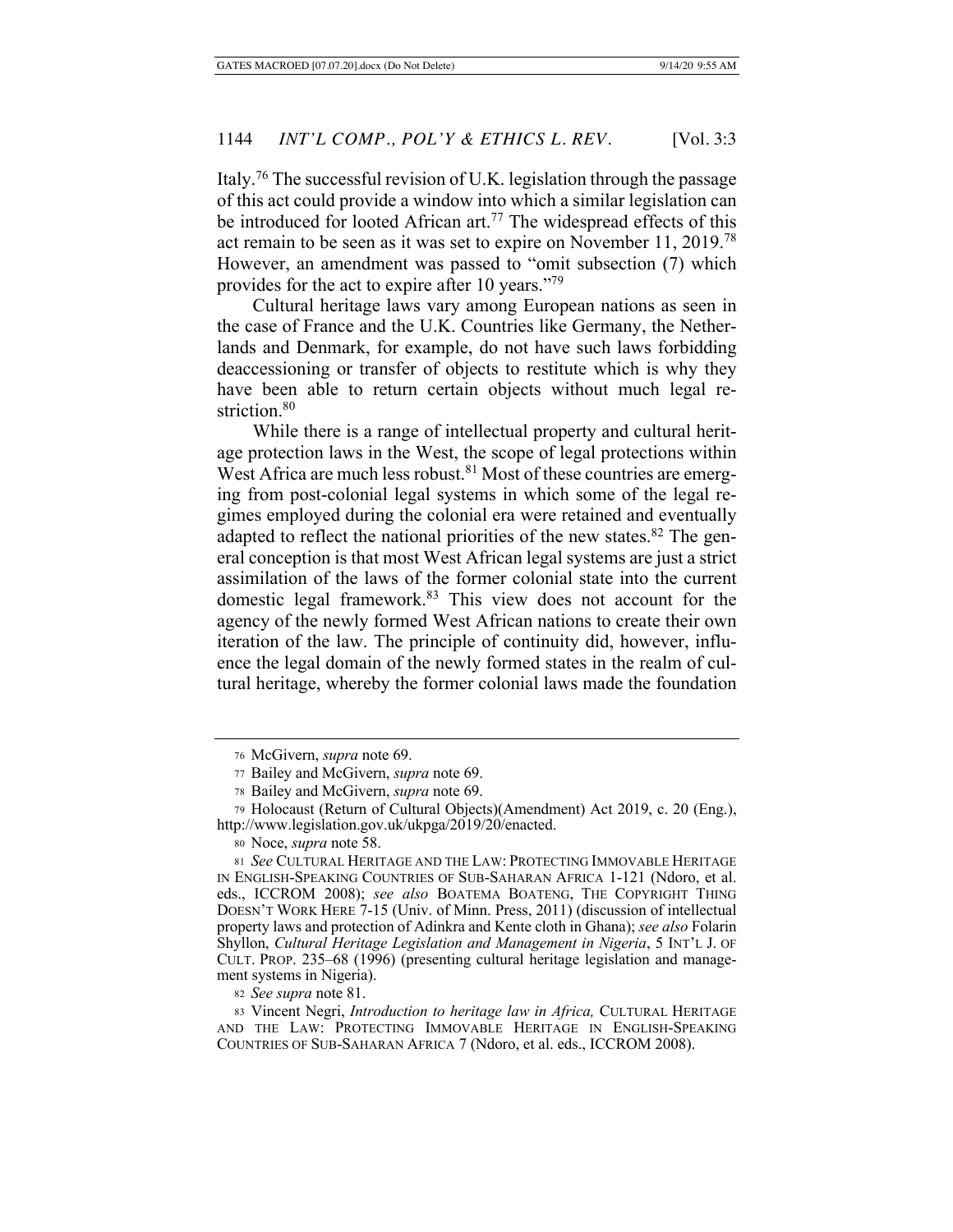Italy.76 The successful revision of U.K. legislation through the passage of this act could provide a window into which a similar legislation can be introduced for looted African art.<sup>77</sup> The widespread effects of this act remain to be seen as it was set to expire on November 11, 2019.78 However, an amendment was passed to "omit subsection (7) which provides for the act to expire after 10 years."79

Cultural heritage laws vary among European nations as seen in the case of France and the U.K. Countries like Germany, the Netherlands and Denmark, for example, do not have such laws forbidding deaccessioning or transfer of objects to restitute which is why they have been able to return certain objects without much legal restriction.<sup>80</sup>

While there is a range of intellectual property and cultural heritage protection laws in the West, the scope of legal protections within West Africa are much less robust.<sup>81</sup> Most of these countries are emerging from post-colonial legal systems in which some of the legal regimes employed during the colonial era were retained and eventually adapted to reflect the national priorities of the new states. $82$  The general conception is that most West African legal systems are just a strict assimilation of the laws of the former colonial state into the current domestic legal framework.83 This view does not account for the agency of the newly formed West African nations to create their own iteration of the law. The principle of continuity did, however, influence the legal domain of the newly formed states in the realm of cultural heritage, whereby the former colonial laws made the foundation

<sup>76</sup> McGivern, *supra* note 69.

<sup>77</sup> Bailey and McGivern, *supra* note 69.

<sup>78</sup> Bailey and McGivern, *supra* note 69.

<sup>79</sup> Holocaust (Return of Cultural Objects)(Amendment) Act 2019, c. 20 (Eng.), http://www.legislation.gov.uk/ukpga/2019/20/enacted.

<sup>80</sup> Noce, *supra* note 58.

<sup>81</sup> *See* CULTURAL HERITAGE AND THE LAW: PROTECTING IMMOVABLE HERITAGE IN ENGLISH-SPEAKING COUNTRIES OF SUB-SAHARAN AFRICA 1-121 (Ndoro, et al. eds., ICCROM 2008); *see also* BOATEMA BOATENG, THE COPYRIGHT THING DOESN'T WORK HERE 7-15 (Univ. of Minn. Press, 2011) (discussion of intellectual property laws and protection of Adinkra and Kente cloth in Ghana); *see also* Folarin Shyllon, *Cultural Heritage Legislation and Management in Nigeria*, 5 INT'L J. OF CULT. PROP. 235–68 (1996) (presenting cultural heritage legislation and management systems in Nigeria).

<sup>82</sup> *See supra* note 81.

<sup>83</sup> Vincent Negri, *Introduction to heritage law in Africa,* CULTURAL HERITAGE AND THE LAW: PROTECTING IMMOVABLE HERITAGE IN ENGLISH-SPEAKING COUNTRIES OF SUB-SAHARAN AFRICA 7 (Ndoro, et al. eds., ICCROM 2008).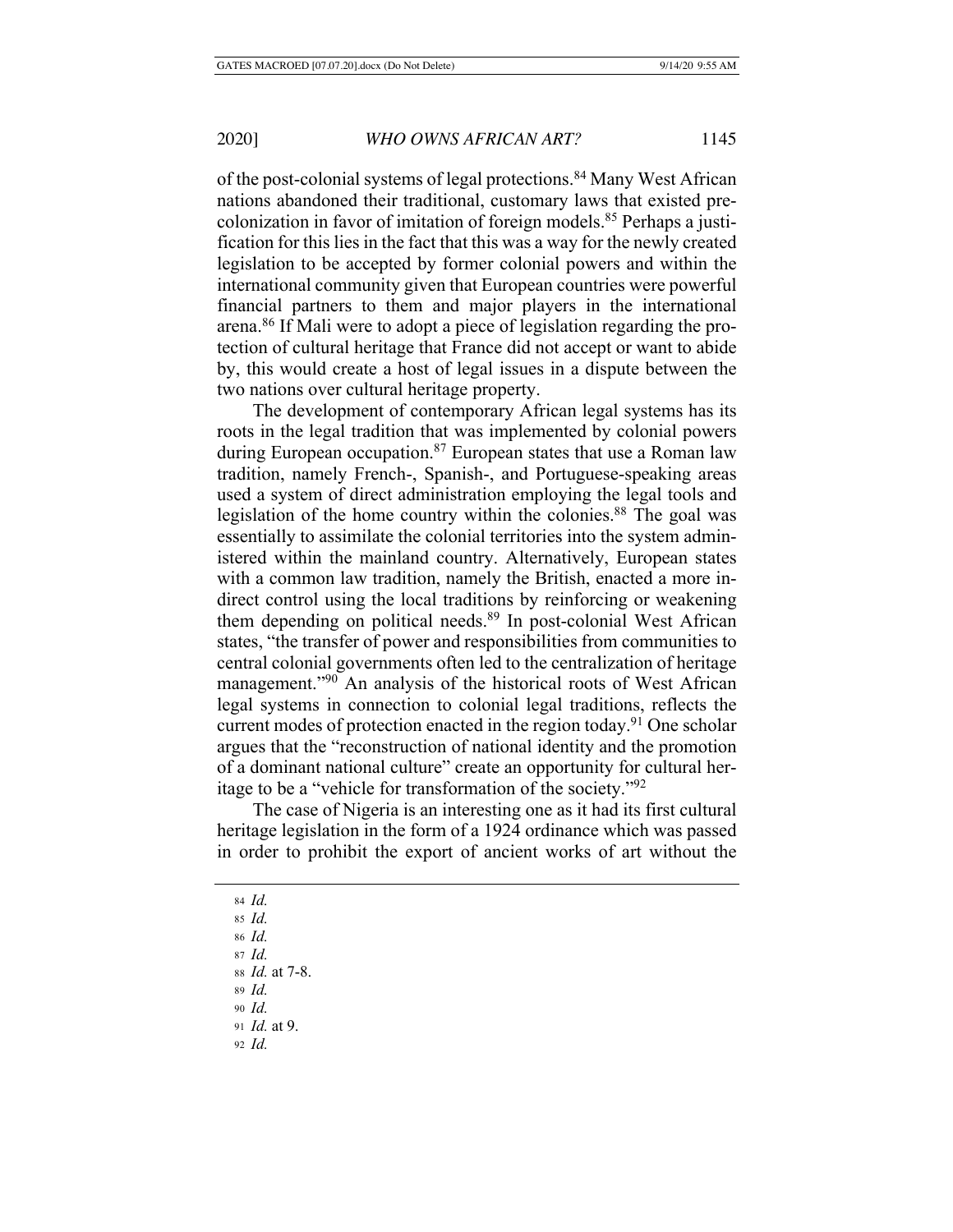of the post-colonial systems of legal protections.<sup>84</sup> Many West African nations abandoned their traditional, customary laws that existed precolonization in favor of imitation of foreign models.85 Perhaps a justification for this lies in the fact that this was a way for the newly created legislation to be accepted by former colonial powers and within the international community given that European countries were powerful financial partners to them and major players in the international arena.86 If Mali were to adopt a piece of legislation regarding the protection of cultural heritage that France did not accept or want to abide by, this would create a host of legal issues in a dispute between the two nations over cultural heritage property.

The development of contemporary African legal systems has its roots in the legal tradition that was implemented by colonial powers during European occupation.<sup>87</sup> European states that use a Roman law tradition, namely French-, Spanish-, and Portuguese-speaking areas used a system of direct administration employing the legal tools and legislation of the home country within the colonies.<sup>88</sup> The goal was essentially to assimilate the colonial territories into the system administered within the mainland country. Alternatively, European states with a common law tradition, namely the British, enacted a more indirect control using the local traditions by reinforcing or weakening them depending on political needs. $89$  In post-colonial West African states, "the transfer of power and responsibilities from communities to central colonial governments often led to the centralization of heritage management."<sup>90</sup> An analysis of the historical roots of West African legal systems in connection to colonial legal traditions, reflects the current modes of protection enacted in the region today.<sup>91</sup> One scholar argues that the "reconstruction of national identity and the promotion of a dominant national culture" create an opportunity for cultural heritage to be a "vehicle for transformation of the society."92

The case of Nigeria is an interesting one as it had its first cultural heritage legislation in the form of a 1924 ordinance which was passed in order to prohibit the export of ancient works of art without the

- <sup>84</sup> *Id.*
- <sup>85</sup> *Id.*
- <sup>86</sup> *Id.*
- <sup>87</sup> *Id.*

<sup>88</sup> *Id.* at 7-8.

- <sup>89</sup> *Id.*
- <sup>90</sup> *Id.*
- <sup>91</sup> *Id.* at 9.
- <sup>92</sup> *Id.*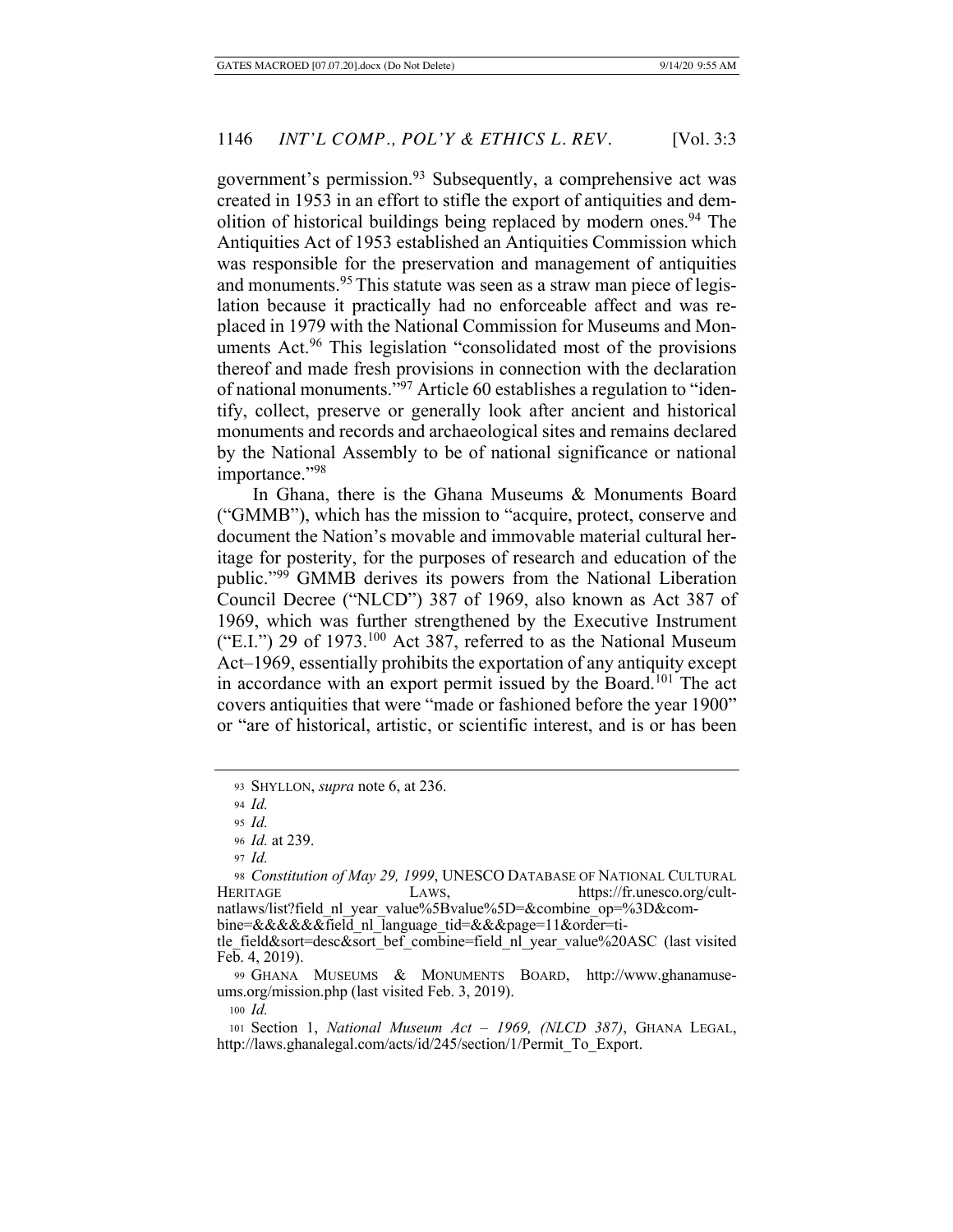government's permission.93 Subsequently, a comprehensive act was created in 1953 in an effort to stifle the export of antiquities and demolition of historical buildings being replaced by modern ones.<sup>94</sup> The Antiquities Act of 1953 established an Antiquities Commission which was responsible for the preservation and management of antiquities and monuments.<sup>95</sup> This statute was seen as a straw man piece of legislation because it practically had no enforceable affect and was replaced in 1979 with the National Commission for Museums and Monuments Act.<sup>96</sup> This legislation "consolidated most of the provisions" thereof and made fresh provisions in connection with the declaration of national monuments."97 Article 60 establishes a regulation to "identify, collect, preserve or generally look after ancient and historical monuments and records and archaeological sites and remains declared by the National Assembly to be of national significance or national importance."98

In Ghana, there is the Ghana Museums & Monuments Board ("GMMB"), which has the mission to "acquire, protect, conserve and document the Nation's movable and immovable material cultural heritage for posterity, for the purposes of research and education of the public."99 GMMB derives its powers from the National Liberation Council Decree ("NLCD") 387 of 1969, also known as Act 387 of 1969, which was further strengthened by the Executive Instrument ("E.I.") 29 of 1973.<sup>100</sup> Act 387, referred to as the National Museum Act–1969, essentially prohibits the exportation of any antiquity except in accordance with an export permit issued by the Board.<sup>101</sup> The act covers antiquities that were "made or fashioned before the year 1900" or "are of historical, artistic, or scientific interest, and is or has been

<sup>97</sup> *Id.*

<sup>100</sup> *Id.*

<sup>93</sup> SHYLLON, *supra* note 6, at 236.

<sup>94</sup> *Id.*

<sup>95</sup> *Id.*

<sup>96</sup> *Id.* at 239.

<sup>98</sup> *Constitution of May 29, 1999*, UNESCO DATABASE OF NATIONAL CULTURAL HERITAGE LAWS, https://fr.unesco.org/cultnatlaws/list?field\_nl\_year\_value%5Bvalue%5D=&combine\_op=%3D&combine=&&&&&&field\_nl\_language\_tid=&&&page=11&order=title\_field&sort=desc&sort\_bef\_combine=field\_nl\_year\_value%20ASC (last visited

Feb. 4, 2019).

<sup>99</sup> GHANA MUSEUMS & MONUMENTS BOARD, http://www.ghanamuseums.org/mission.php (last visited Feb. 3, 2019).

<sup>101</sup> Section 1, *National Museum Act – 1969, (NLCD 387)*, GHANA LEGAL, http://laws.ghanalegal.com/acts/id/245/section/1/Permit\_To\_Export.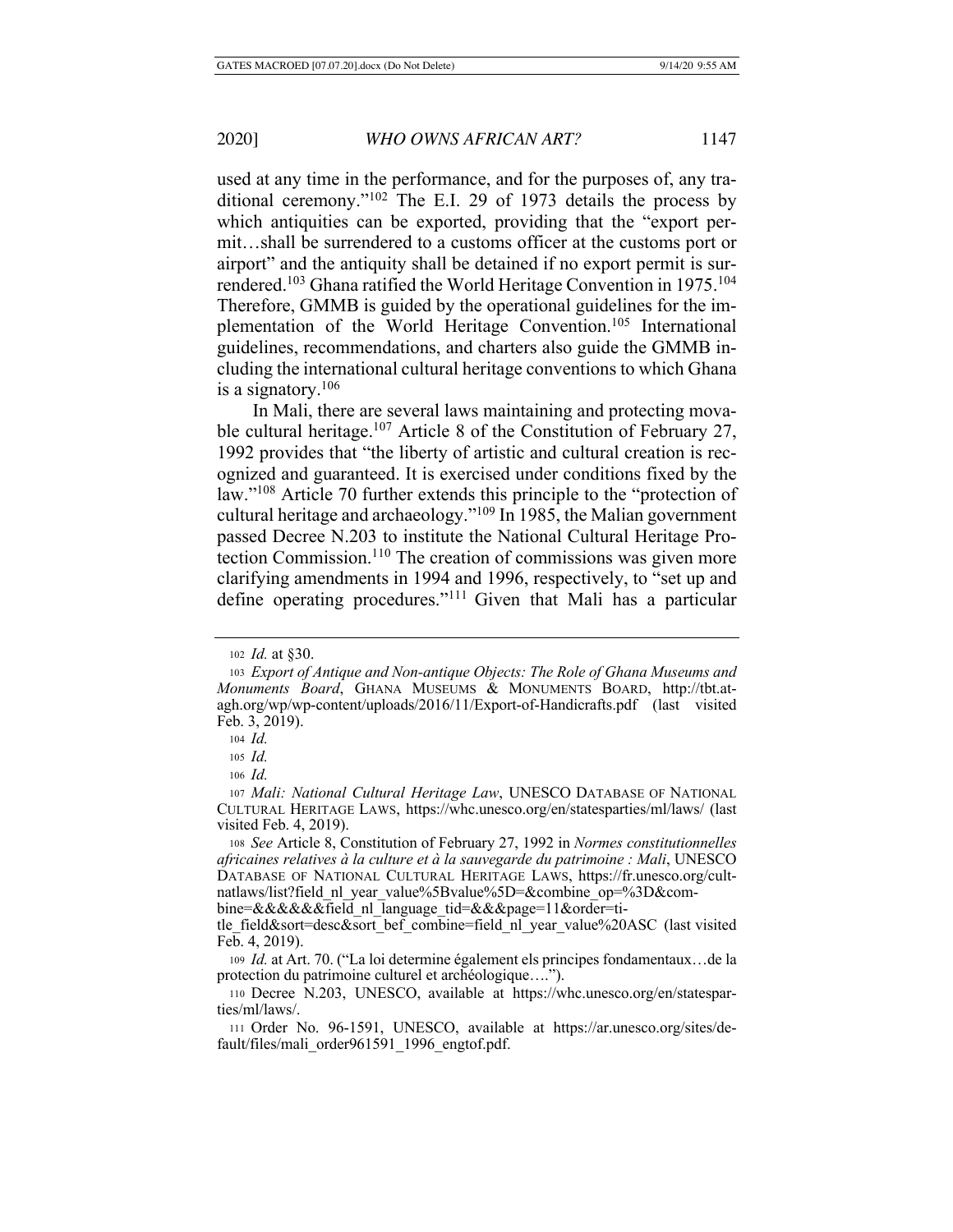used at any time in the performance, and for the purposes of, any traditional ceremony."102 The E.I. 29 of 1973 details the process by which antiquities can be exported, providing that the "export permit…shall be surrendered to a customs officer at the customs port or airport" and the antiquity shall be detained if no export permit is surrendered.<sup>103</sup> Ghana ratified the World Heritage Convention in 1975.<sup>104</sup> Therefore, GMMB is guided by the operational guidelines for the implementation of the World Heritage Convention.105 International guidelines, recommendations, and charters also guide the GMMB including the international cultural heritage conventions to which Ghana is a signatory. $106$ 

In Mali, there are several laws maintaining and protecting movable cultural heritage.<sup>107</sup> Article 8 of the Constitution of February 27, 1992 provides that "the liberty of artistic and cultural creation is recognized and guaranteed. It is exercised under conditions fixed by the law."108 Article 70 further extends this principle to the "protection of cultural heritage and archaeology."109 In 1985, the Malian government passed Decree N.203 to institute the National Cultural Heritage Protection Commission.110 The creation of commissions was given more clarifying amendments in 1994 and 1996, respectively, to "set up and define operating procedures."111 Given that Mali has a particular

bine=&&&&&&&tield nl language tid=&&&page=11&order=ti-

<sup>102</sup> *Id.* at §30.

<sup>103</sup> *Export of Antique and Non-antique Objects: The Role of Ghana Museums and Monuments Board*, GHANA MUSEUMS & MONUMENTS BOARD, http://tbt.atagh.org/wp/wp-content/uploads/2016/11/Export-of-Handicrafts.pdf (last visited Feb. 3, 2019).

<sup>104</sup> *Id.*

<sup>105</sup> *Id.*

<sup>106</sup> *Id.*

<sup>107</sup> *Mali: National Cultural Heritage Law*, UNESCO DATABASE OF NATIONAL CULTURAL HERITAGE LAWS, https://whc.unesco.org/en/statesparties/ml/laws/ (last visited Feb. 4, 2019).

<sup>108</sup> *See* Article 8, Constitution of February 27, 1992 in *Normes constitutionnelles africaines relatives à la culture et à la sauvegarde du patrimoine : Mali*, UNESCO DATABASE OF NATIONAL CULTURAL HERITAGE LAWS, https://fr.unesco.org/cultnatlaws/list?field\_nl\_year\_value%5Bvalue%5D=&combine\_op=%3D&com-

tle\_field&sort=desc&sort\_bef\_combine=field\_nl\_year\_value%20ASC (last visited Feb. 4, 2019).

<sup>109</sup> *Id.* at Art. 70. ("La loi determine également els principes fondamentaux…de la protection du patrimoine culturel et archéologique….").

<sup>110</sup> Decree N.203, UNESCO, available at https://whc.unesco.org/en/statesparties/ml/laws/.

<sup>111</sup> Order No. 96-1591, UNESCO, available at https://ar.unesco.org/sites/default/files/mali\_order961591\_1996\_engtof.pdf.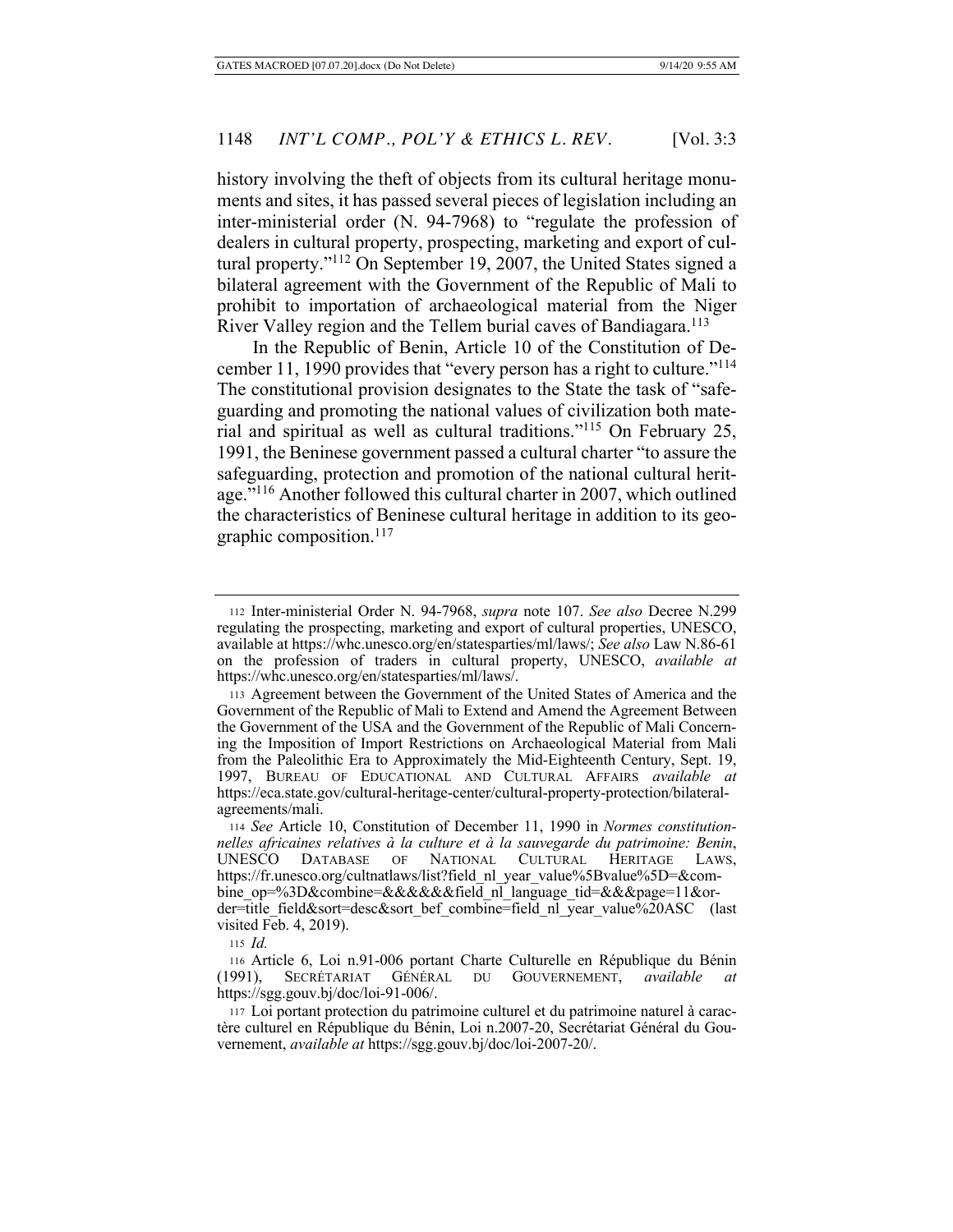history involving the theft of objects from its cultural heritage monuments and sites, it has passed several pieces of legislation including an inter-ministerial order (N. 94-7968) to "regulate the profession of dealers in cultural property, prospecting, marketing and export of cultural property."112 On September 19, 2007, the United States signed a bilateral agreement with the Government of the Republic of Mali to prohibit to importation of archaeological material from the Niger River Valley region and the Tellem burial caves of Bandiagara.<sup>113</sup>

In the Republic of Benin, Article 10 of the Constitution of December 11, 1990 provides that "every person has a right to culture."114 The constitutional provision designates to the State the task of "safeguarding and promoting the national values of civilization both material and spiritual as well as cultural traditions."115 On February 25, 1991, the Beninese government passed a cultural charter "to assure the safeguarding, protection and promotion of the national cultural heritage."116 Another followed this cultural charter in 2007, which outlined the characteristics of Beninese cultural heritage in addition to its geographic composition. $117$ 

<sup>112</sup> Inter-ministerial Order N. 94-7968, *supra* note 107. *See also* Decree N.299 regulating the prospecting, marketing and export of cultural properties, UNESCO, available at https://whc.unesco.org/en/statesparties/ml/laws/; *See also* Law N.86-61 on the profession of traders in cultural property, UNESCO, *available at* https://whc.unesco.org/en/statesparties/ml/laws/.

<sup>113</sup> Agreement between the Government of the United States of America and the Government of the Republic of Mali to Extend and Amend the Agreement Between the Government of the USA and the Government of the Republic of Mali Concerning the Imposition of Import Restrictions on Archaeological Material from Mali from the Paleolithic Era to Approximately the Mid-Eighteenth Century, Sept. 19, 1997, BUREAU OF EDUCATIONAL AND CULTURAL AFFAIRS *available at* https://eca.state.gov/cultural-heritage-center/cultural-property-protection/bilateralagreements/mali.

<sup>114</sup> *See* Article 10, Constitution of December 11, 1990 in *Normes constitutionnelles africaines relatives à la culture et à la sauvegarde du patrimoine: Benin*, UNESCO DATABASE OF NATIONAL CULTURAL HERITAGE LAWS, https://fr.unesco.org/cultnatlaws/list?field\_nl\_year\_value%5Bvalue%5D=&combine\_op=%3D&combine=&&&&&&field\_nl\_language\_tid=&&&page=11&order=title\_field&sort=desc&sort\_bef\_combine=field\_nl\_year\_value%20ASC (last visited Feb. 4, 2019).

<sup>115</sup> *Id.*

<sup>116</sup> Article 6, Loi n.91-006 portant Charte Culturelle en République du Bénin (1991), SECRÉTARIAT GÉNÉRAL DU GOUVERNEMENT, *available* https://sgg.gouv.bj/doc/loi-91-006/.

<sup>117</sup> Loi portant protection du patrimoine culturel et du patrimoine naturel à caractère culturel en République du Bénin, Loi n.2007-20, Secrétariat Général du Gouvernement, *available at* https://sgg.gouv.bj/doc/loi-2007-20/.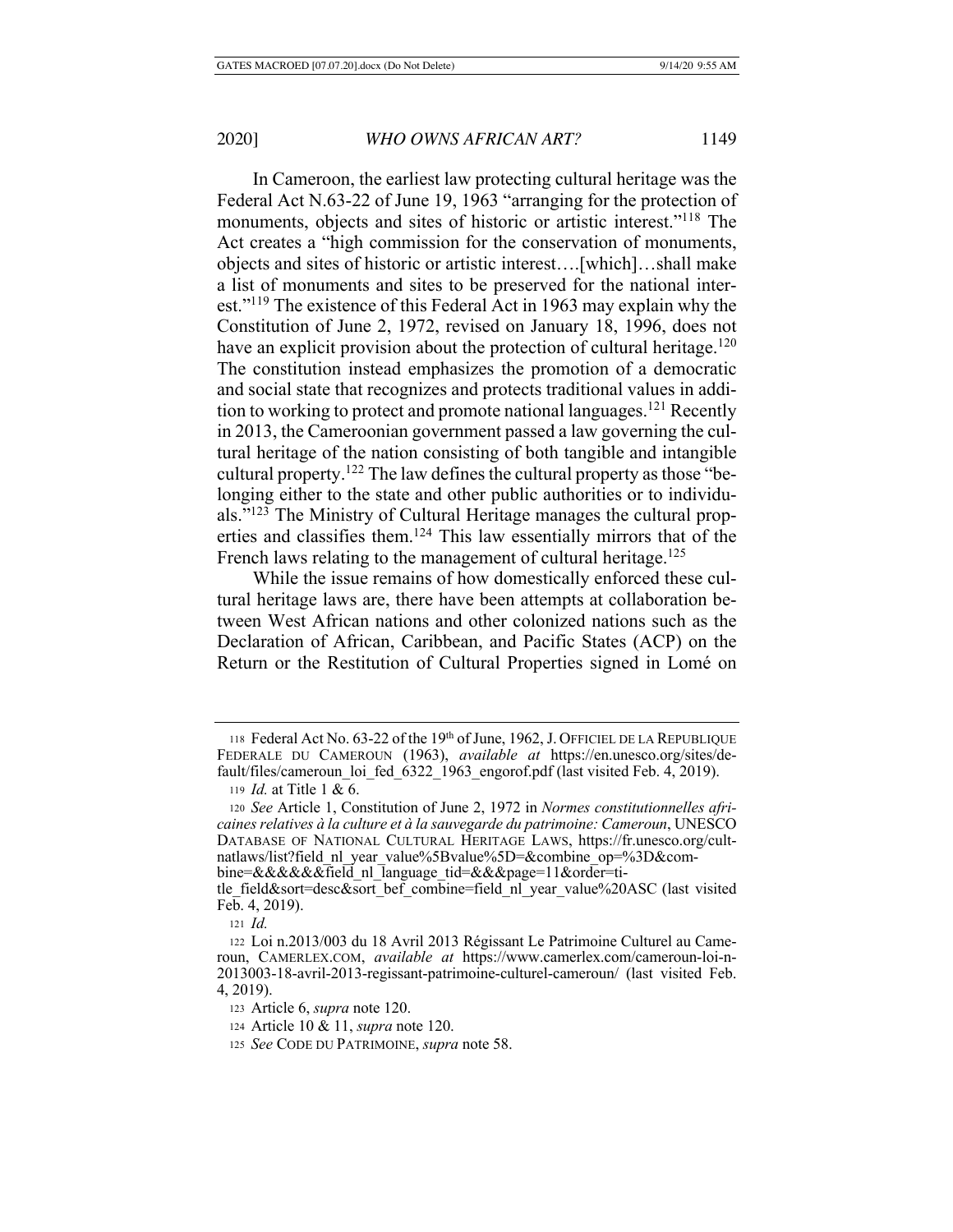In Cameroon, the earliest law protecting cultural heritage was the Federal Act N.63-22 of June 19, 1963 "arranging for the protection of monuments, objects and sites of historic or artistic interest."<sup>118</sup> The Act creates a "high commission for the conservation of monuments, objects and sites of historic or artistic interest….[which]…shall make a list of monuments and sites to be preserved for the national interest."119 The existence of this Federal Act in 1963 may explain why the Constitution of June 2, 1972, revised on January 18, 1996, does not have an explicit provision about the protection of cultural heritage.<sup>120</sup> The constitution instead emphasizes the promotion of a democratic and social state that recognizes and protects traditional values in addition to working to protect and promote national languages.<sup>121</sup> Recently in 2013, the Cameroonian government passed a law governing the cultural heritage of the nation consisting of both tangible and intangible cultural property.<sup>122</sup> The law defines the cultural property as those "belonging either to the state and other public authorities or to individuals."123 The Ministry of Cultural Heritage manages the cultural properties and classifies them.124 This law essentially mirrors that of the French laws relating to the management of cultural heritage.<sup>125</sup>

While the issue remains of how domestically enforced these cultural heritage laws are, there have been attempts at collaboration between West African nations and other colonized nations such as the Declaration of African, Caribbean, and Pacific States (ACP) on the Return or the Restitution of Cultural Properties signed in Lomé on

<sup>118</sup> Federal Act No. 63-22 of the 19th of June, 1962, J. OFFICIEL DE LA REPUBLIQUE FEDERALE DU CAMEROUN (1963), *available at* https://en.unesco.org/sites/default/files/cameroun\_loi\_fed\_6322\_1963\_engorof.pdf (last visited Feb. 4, 2019).

<sup>119</sup> *Id.* at Title 1 & 6.

<sup>120</sup> *See* Article 1, Constitution of June 2, 1972 in *Normes constitutionnelles africaines relatives à la culture et à la sauvegarde du patrimoine: Cameroun*, UNESCO DATABASE OF NATIONAL CULTURAL HERITAGE LAWS, https://fr.unesco.org/cultnatlaws/list?field\_nl\_year\_value%5Bvalue%5D=&combine\_op=%3D&combine=&&&&&&Tield\_nl\_language\_tid=&&&page=11&order=ti-

tle\_field&sort=desc&sort\_bef\_combine=field\_nl\_year\_value%20ASC (last visited  $Fe<sub>b</sub>$ . 4, 2019).

<sup>121</sup> *Id.*

<sup>122</sup> Loi n.2013/003 du 18 Avril 2013 Régissant Le Patrimoine Culturel au Cameroun, CAMERLEX.COM, *available at* https://www.camerlex.com/cameroun-loi-n-2013003-18-avril-2013-regissant-patrimoine-culturel-cameroun/ (last visited Feb. 4, 2019).

<sup>123</sup> Article 6, *supra* note 120.

<sup>124</sup> Article 10 & 11, *supra* note 120.

<sup>125</sup> *See* CODE DU PATRIMOINE, *supra* note 58.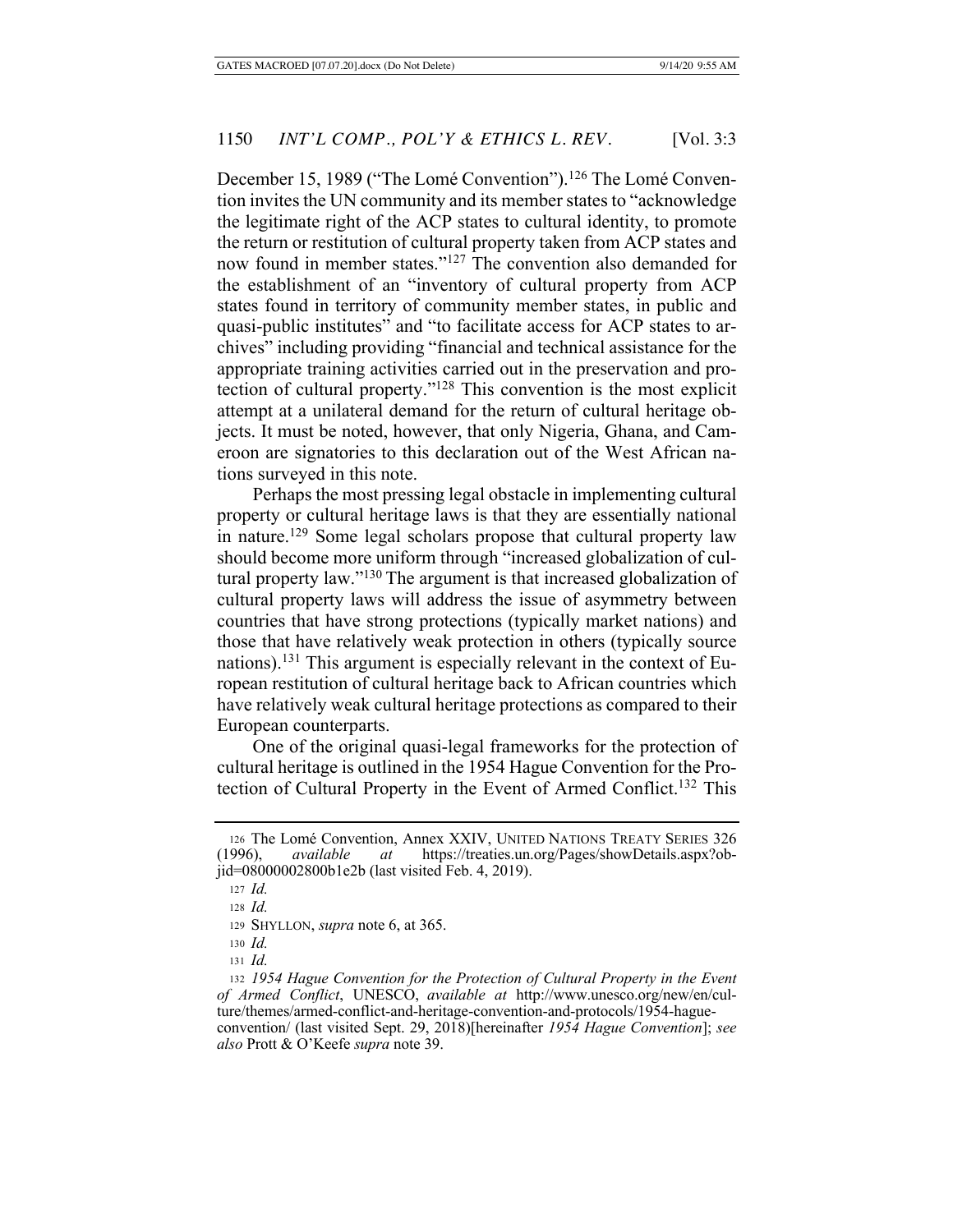December 15, 1989 ("The Lomé Convention").<sup>126</sup> The Lomé Convention invites the UN community and its member states to "acknowledge the legitimate right of the ACP states to cultural identity, to promote the return or restitution of cultural property taken from ACP states and now found in member states."127 The convention also demanded for the establishment of an "inventory of cultural property from ACP states found in territory of community member states, in public and quasi-public institutes" and "to facilitate access for ACP states to archives" including providing "financial and technical assistance for the appropriate training activities carried out in the preservation and protection of cultural property."128 This convention is the most explicit attempt at a unilateral demand for the return of cultural heritage objects. It must be noted, however, that only Nigeria, Ghana, and Cameroon are signatories to this declaration out of the West African nations surveyed in this note.

Perhaps the most pressing legal obstacle in implementing cultural property or cultural heritage laws is that they are essentially national in nature.<sup>129</sup> Some legal scholars propose that cultural property law should become more uniform through "increased globalization of cultural property law."130 The argument is that increased globalization of cultural property laws will address the issue of asymmetry between countries that have strong protections (typically market nations) and those that have relatively weak protection in others (typically source nations).131 This argument is especially relevant in the context of European restitution of cultural heritage back to African countries which have relatively weak cultural heritage protections as compared to their European counterparts.

One of the original quasi-legal frameworks for the protection of cultural heritage is outlined in the 1954 Hague Convention for the Protection of Cultural Property in the Event of Armed Conflict.132 This

<sup>&</sup>lt;sup>126</sup> The Lomé Convention, Annex XXIV, UNITED NATIONS TREATY SERIES 326 (1996), *available at* https://treaties.un.org/Pages/showDetails.aspx?ob-(1996), *available at* https://treaties.un.org/Pages/showDetails.aspx?objid=08000002800b1e2b (last visited Feb. 4, 2019).

<sup>127</sup> *Id.*

<sup>128</sup> *Id.*

<sup>129</sup> SHYLLON, *supra* note 6, at 365.

<sup>130</sup> *Id.*

<sup>131</sup> *Id.*

<sup>132</sup> *1954 Hague Convention for the Protection of Cultural Property in the Event of Armed Conflict*, UNESCO, *available at* http://www.unesco.org/new/en/culture/themes/armed-conflict-and-heritage-convention-and-protocols/1954-hagueconvention/ (last visited Sept. 29, 2018)[hereinafter *1954 Hague Convention*]; *see also* Prott & O'Keefe *supra* note 39.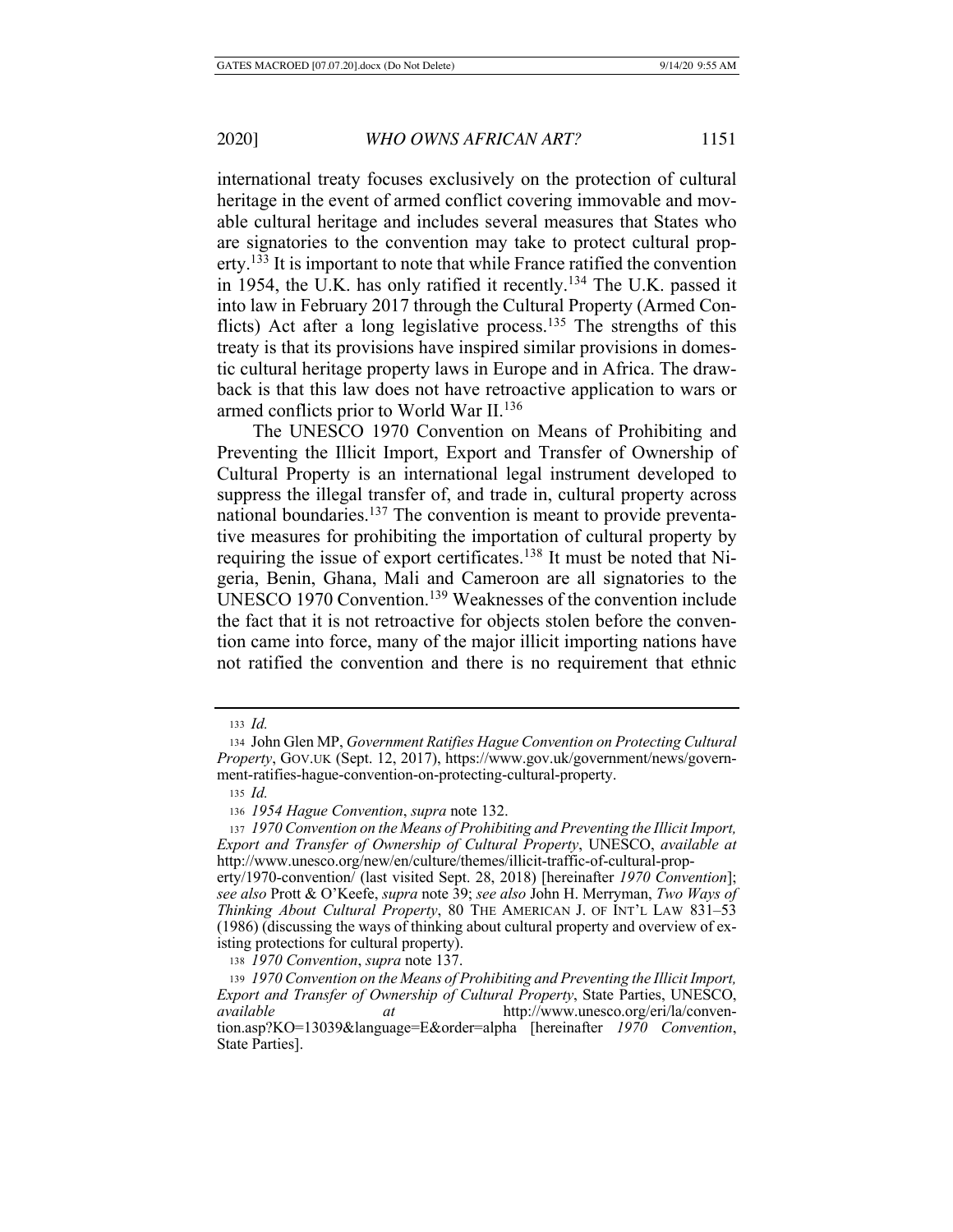international treaty focuses exclusively on the protection of cultural heritage in the event of armed conflict covering immovable and movable cultural heritage and includes several measures that States who are signatories to the convention may take to protect cultural property.<sup>133</sup> It is important to note that while France ratified the convention in 1954, the U.K. has only ratified it recently.134 The U.K. passed it into law in February 2017 through the Cultural Property (Armed Conflicts) Act after a long legislative process.<sup>135</sup> The strengths of this treaty is that its provisions have inspired similar provisions in domestic cultural heritage property laws in Europe and in Africa. The drawback is that this law does not have retroactive application to wars or armed conflicts prior to World War II.136

The UNESCO 1970 Convention on Means of Prohibiting and Preventing the Illicit Import, Export and Transfer of Ownership of Cultural Property is an international legal instrument developed to suppress the illegal transfer of, and trade in, cultural property across national boundaries.<sup>137</sup> The convention is meant to provide preventative measures for prohibiting the importation of cultural property by requiring the issue of export certificates.138 It must be noted that Nigeria, Benin, Ghana, Mali and Cameroon are all signatories to the UNESCO 1970 Convention.139 Weaknesses of the convention include the fact that it is not retroactive for objects stolen before the convention came into force, many of the major illicit importing nations have not ratified the convention and there is no requirement that ethnic

<sup>133</sup> *Id.*

<sup>134</sup> John Glen MP, *Government Ratifies Hague Convention on Protecting Cultural Property*, GOV.UK (Sept. 12, 2017), https://www.gov.uk/government/news/government-ratifies-hague-convention-on-protecting-cultural-property.

<sup>135</sup> *Id.*

<sup>136</sup> *1954 Hague Convention*, *supra* note 132.

<sup>137</sup> *1970 Convention on the Means of Prohibiting and Preventing the Illicit Import, Export and Transfer of Ownership of Cultural Property*, UNESCO, *available at* http://www.unesco.org/new/en/culture/themes/illicit-traffic-of-cultural-prop-

erty/1970-convention/ (last visited Sept. 28, 2018) [hereinafter *1970 Convention*]; *see also* Prott & O'Keefe, *supra* note 39; *see also* John H. Merryman, *Two Ways of Thinking About Cultural Property*, 80 THE AMERICAN J. OF INT'L LAW 831-53 (1986) (discussing the ways of thinking about cultural property and overview of existing protections for cultural property).

<sup>138</sup> *1970 Convention*, *supra* note 137.

<sup>139</sup> *1970 Convention on the Means of Prohibiting and Preventing the Illicit Import, Export and Transfer of Ownership of Cultural Property*, State Parties, UNESCO, *available at* http://www.unesco.org/eri/la/convention.asp?KO=13039&language=E&order=alpha [hereinafter *1970 Convention*, State Parties].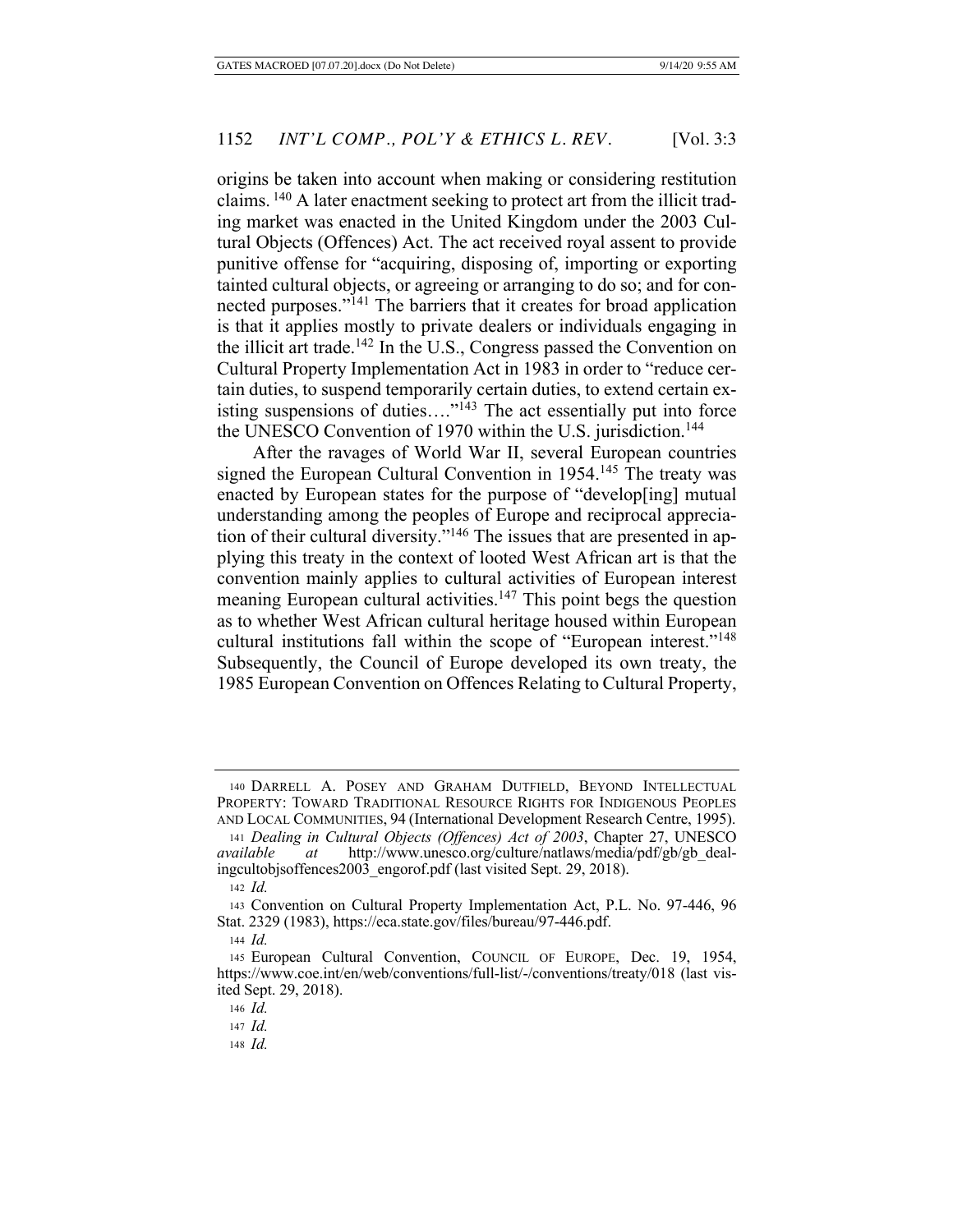origins be taken into account when making or considering restitution claims. 140 A later enactment seeking to protect art from the illicit trading market was enacted in the United Kingdom under the 2003 Cultural Objects (Offences) Act. The act received royal assent to provide punitive offense for "acquiring, disposing of, importing or exporting tainted cultural objects, or agreeing or arranging to do so; and for connected purposes."141 The barriers that it creates for broad application is that it applies mostly to private dealers or individuals engaging in the illicit art trade.<sup>142</sup> In the U.S., Congress passed the Convention on Cultural Property Implementation Act in 1983 in order to "reduce certain duties, to suspend temporarily certain duties, to extend certain ex- $\lim_{n \to \infty} \frac{1}{n}$  isting suspensions of duties...."<sup>143</sup> The act essentially put into force the UNESCO Convention of 1970 within the U.S. jurisdiction.<sup>144</sup>

After the ravages of World War II, several European countries signed the European Cultural Convention in 1954.<sup>145</sup> The treaty was enacted by European states for the purpose of "develop[ing] mutual understanding among the peoples of Europe and reciprocal appreciation of their cultural diversity."146 The issues that are presented in applying this treaty in the context of looted West African art is that the convention mainly applies to cultural activities of European interest meaning European cultural activities.<sup>147</sup> This point begs the question as to whether West African cultural heritage housed within European cultural institutions fall within the scope of "European interest."148 Subsequently, the Council of Europe developed its own treaty, the 1985 European Convention on Offences Relating to Cultural Property,

<sup>140</sup> DARRELL A. POSEY AND GRAHAM DUTFIELD, BEYOND INTELLECTUAL PROPERTY: TOWARD TRADITIONAL RESOURCE RIGHTS FOR INDIGENOUS PEOPLES AND LOCAL COMMUNITIES, 94 (International Development Research Centre, 1995).

<sup>141</sup> *Dealing in Cultural Objects (Offences) Act of 2003*, Chapter 27, UNESCO *available at* http://www.unesco.org/culture/natlaws/media/pdf/gb/gb\_dealingcultobjsoffences2003\_engorof.pdf (last visited Sept. 29, 2018).

<sup>142</sup> *Id.*

<sup>143</sup> Convention on Cultural Property Implementation Act, P.L. No. 97-446, 96 Stat. 2329 (1983), https://eca.state.gov/files/bureau/97-446.pdf.

<sup>144</sup> *Id.*

<sup>145</sup> European Cultural Convention, COUNCIL OF EUROPE, Dec. 19, 1954, https://www.coe.int/en/web/conventions/full-list/-/conventions/treaty/018 (last visited Sept. 29, 2018).

<sup>146</sup> *Id.*

<sup>147</sup> *Id.*

<sup>148</sup> *Id.*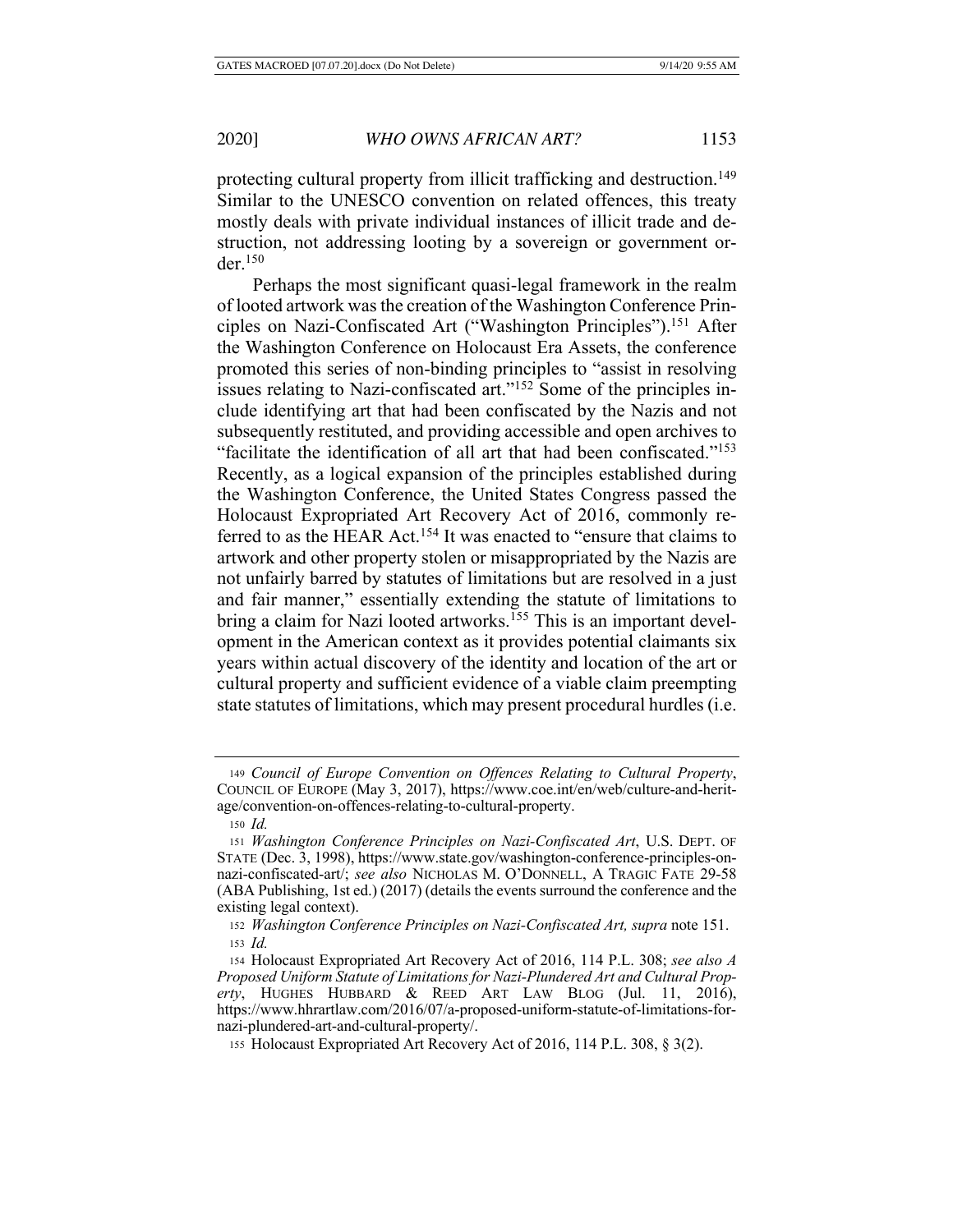protecting cultural property from illicit trafficking and destruction.<sup>149</sup> Similar to the UNESCO convention on related offences, this treaty mostly deals with private individual instances of illicit trade and destruction, not addressing looting by a sovereign or government or $der<sup>150</sup>$ 

Perhaps the most significant quasi-legal framework in the realm of looted artwork was the creation of the Washington Conference Principles on Nazi-Confiscated Art ("Washington Principles").<sup>151</sup> After the Washington Conference on Holocaust Era Assets, the conference promoted this series of non-binding principles to "assist in resolving issues relating to Nazi-confiscated art."152 Some of the principles include identifying art that had been confiscated by the Nazis and not subsequently restituted, and providing accessible and open archives to "facilitate the identification of all art that had been confiscated."153 Recently, as a logical expansion of the principles established during the Washington Conference, the United States Congress passed the Holocaust Expropriated Art Recovery Act of 2016, commonly referred to as the HEAR Act.<sup>154</sup> It was enacted to "ensure that claims to artwork and other property stolen or misappropriated by the Nazis are not unfairly barred by statutes of limitations but are resolved in a just and fair manner," essentially extending the statute of limitations to bring a claim for Nazi looted artworks.<sup>155</sup> This is an important development in the American context as it provides potential claimants six years within actual discovery of the identity and location of the art or cultural property and sufficient evidence of a viable claim preempting state statutes of limitations, which may present procedural hurdles (i.e.

<sup>149</sup> *Council of Europe Convention on Offences Relating to Cultural Property*, COUNCIL OF EUROPE (May 3, 2017), https://www.coe.int/en/web/culture-and-heritage/convention-on-offences-relating-to-cultural-property.

<sup>150</sup> *Id.*

<sup>151</sup> *Washington Conference Principles on Nazi-Confiscated Art*, U.S. DEPT. OF STATE (Dec. 3, 1998), https://www.state.gov/washington-conference-principles-onnazi-confiscated-art/; *see also* NICHOLAS M. O'DONNELL, A TRAGIC FATE 29-58 (ABA Publishing, 1st ed.) (2017) (details the events surround the conference and the existing legal context).

<sup>152</sup> *Washington Conference Principles on Nazi-Confiscated Art, supra* note 151. <sup>153</sup> *Id.*

<sup>154</sup> Holocaust Expropriated Art Recovery Act of 2016, 114 P.L. 308; *see also A Proposed Uniform Statute of Limitations for Nazi-Plundered Art and Cultural Property*, HUGHES HUBBARD & REED ART LAW BLOG (Jul. 11, 2016), https://www.hhrartlaw.com/2016/07/a-proposed-uniform-statute-of-limitations-fornazi-plundered-art-and-cultural-property/.

<sup>155</sup> Holocaust Expropriated Art Recovery Act of 2016, 114 P.L. 308, § 3(2).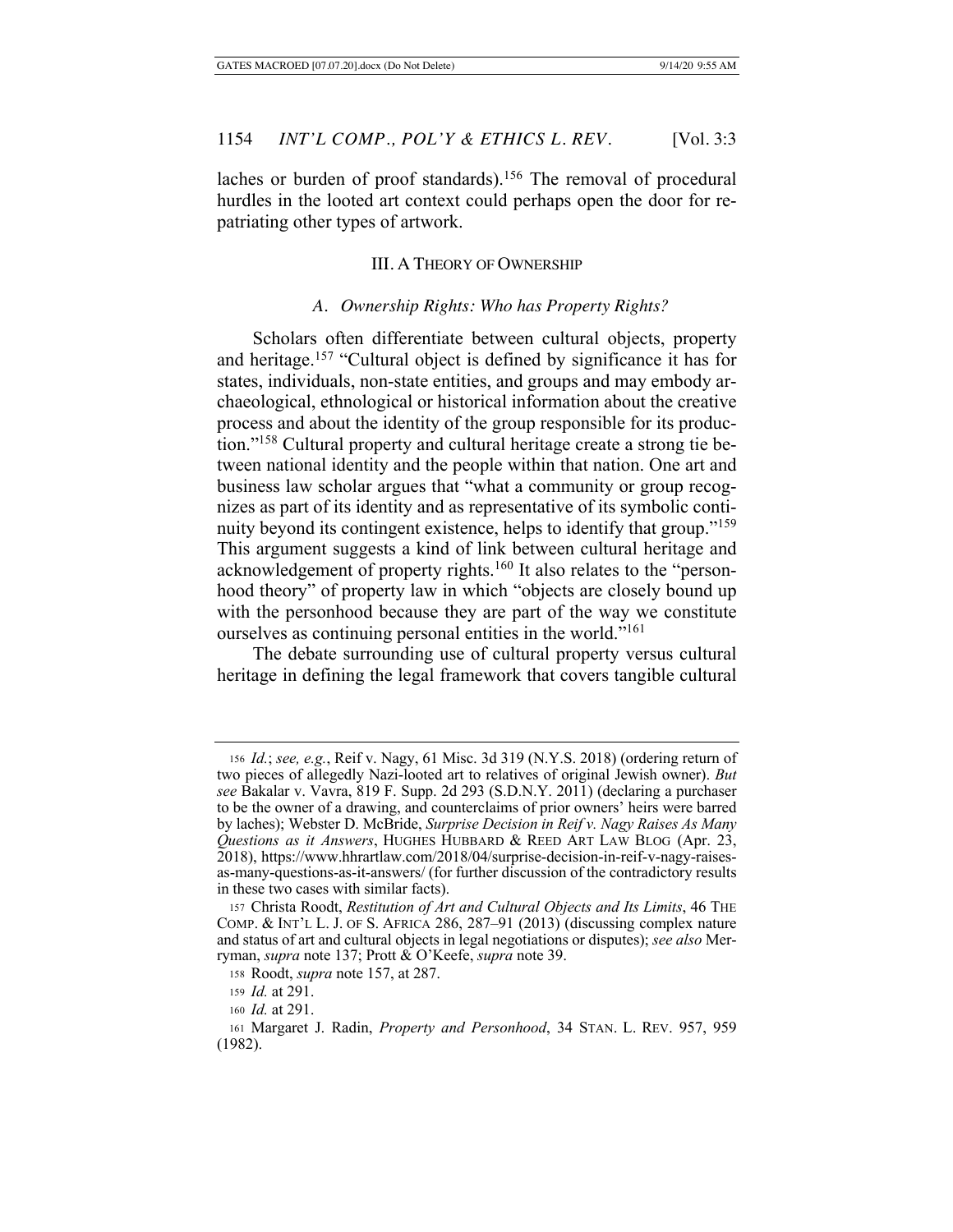laches or burden of proof standards).<sup>156</sup> The removal of procedural hurdles in the looted art context could perhaps open the door for repatriating other types of artwork.

### III. A THEORY OF OWNERSHIP

# *A. Ownership Rights: Who has Property Rights?*

Scholars often differentiate between cultural objects, property and heritage.157 "Cultural object is defined by significance it has for states, individuals, non-state entities, and groups and may embody archaeological, ethnological or historical information about the creative process and about the identity of the group responsible for its production."158 Cultural property and cultural heritage create a strong tie between national identity and the people within that nation. One art and business law scholar argues that "what a community or group recognizes as part of its identity and as representative of its symbolic continuity beyond its contingent existence, helps to identify that group."<sup>159</sup> This argument suggests a kind of link between cultural heritage and acknowledgement of property rights.160 It also relates to the "personhood theory" of property law in which "objects are closely bound up with the personhood because they are part of the way we constitute ourselves as continuing personal entities in the world."161

The debate surrounding use of cultural property versus cultural heritage in defining the legal framework that covers tangible cultural

<sup>156</sup> *Id.*; *see, e.g.*, Reif v. Nagy, 61 Misc. 3d 319 (N.Y.S. 2018) (ordering return of two pieces of allegedly Nazi-looted art to relatives of original Jewish owner). *But see* Bakalar v. Vavra, 819 F. Supp. 2d 293 (S.D.N.Y. 2011) (declaring a purchaser to be the owner of a drawing, and counterclaims of prior owners' heirs were barred by laches); Webster D. McBride, *Surprise Decision in Reif v. Nagy Raises As Many Questions as it Answers*, HUGHES HUBBARD & REED ART LAW BLOG (Apr. 23, 2018), https://www.hhrartlaw.com/2018/04/surprise-decision-in-reif-v-nagy-raisesas-many-questions-as-it-answers/ (for further discussion of the contradictory results in these two cases with similar facts).

<sup>157</sup> Christa Roodt, *Restitution of Art and Cultural Objects and Its Limits*, 46 THE COMP. & INT'L L. J. OF S. AFRICA 286, 287–91 (2013) (discussing complex nature and status of art and cultural objects in legal negotiations or disputes); *see also* Merryman, *supra* note 137; Prott & O'Keefe, *supra* note 39.

<sup>158</sup> Roodt, *supra* note 157, at 287.

<sup>159</sup> *Id.* at 291.

<sup>160</sup> *Id.* at 291.

<sup>161</sup> Margaret J. Radin, *Property and Personhood*, 34 STAN. L. REV. 957, 959 (1982).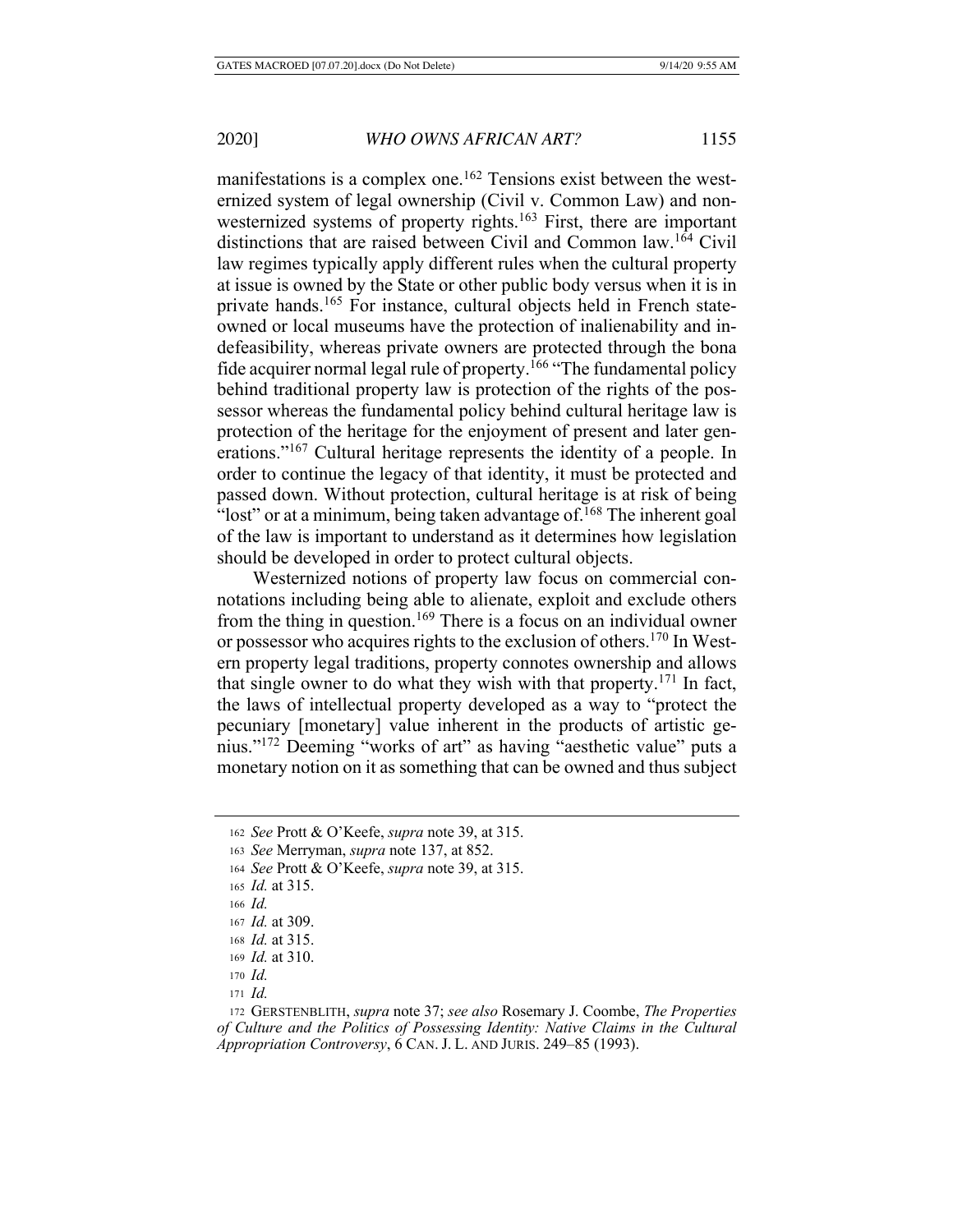manifestations is a complex one.<sup>162</sup> Tensions exist between the westernized system of legal ownership (Civil v. Common Law) and nonwesternized systems of property rights.<sup>163</sup> First, there are important distinctions that are raised between Civil and Common law.164 Civil law regimes typically apply different rules when the cultural property at issue is owned by the State or other public body versus when it is in private hands.<sup>165</sup> For instance, cultural objects held in French stateowned or local museums have the protection of inalienability and indefeasibility, whereas private owners are protected through the bona fide acquirer normal legal rule of property.166 "The fundamental policy behind traditional property law is protection of the rights of the possessor whereas the fundamental policy behind cultural heritage law is protection of the heritage for the enjoyment of present and later generations."167 Cultural heritage represents the identity of a people. In order to continue the legacy of that identity, it must be protected and passed down. Without protection, cultural heritage is at risk of being "lost" or at a minimum, being taken advantage of  $168$  The inherent goal of the law is important to understand as it determines how legislation should be developed in order to protect cultural objects.

Westernized notions of property law focus on commercial connotations including being able to alienate, exploit and exclude others from the thing in question.<sup>169</sup> There is a focus on an individual owner or possessor who acquires rights to the exclusion of others.170 In Western property legal traditions, property connotes ownership and allows that single owner to do what they wish with that property.<sup>171</sup> In fact, the laws of intellectual property developed as a way to "protect the pecuniary [monetary] value inherent in the products of artistic genius."172 Deeming "works of art" as having "aesthetic value" puts a monetary notion on it as something that can be owned and thus subject

<sup>162</sup> *See* Prott & O'Keefe, *supra* note 39, at 315.

<sup>163</sup> *See* Merryman, *supra* note 137, at 852.

<sup>164</sup> *See* Prott & O'Keefe, *supra* note 39, at 315.

<sup>165</sup> *Id.* at 315.

<sup>166</sup> *Id.*

<sup>167</sup> *Id.* at 309.

<sup>168</sup> *Id.* at 315.

<sup>169</sup> *Id.* at 310.

<sup>170</sup> *Id.*

<sup>171</sup> *Id.* 

<sup>172</sup> GERSTENBLITH, *supra* note 37; *see also* Rosemary J. Coombe, *The Properties of Culture and the Politics of Possessing Identity: Native Claims in the Cultural Appropriation Controversy*, 6 CAN. J. L. AND JURIS. 249–85 (1993).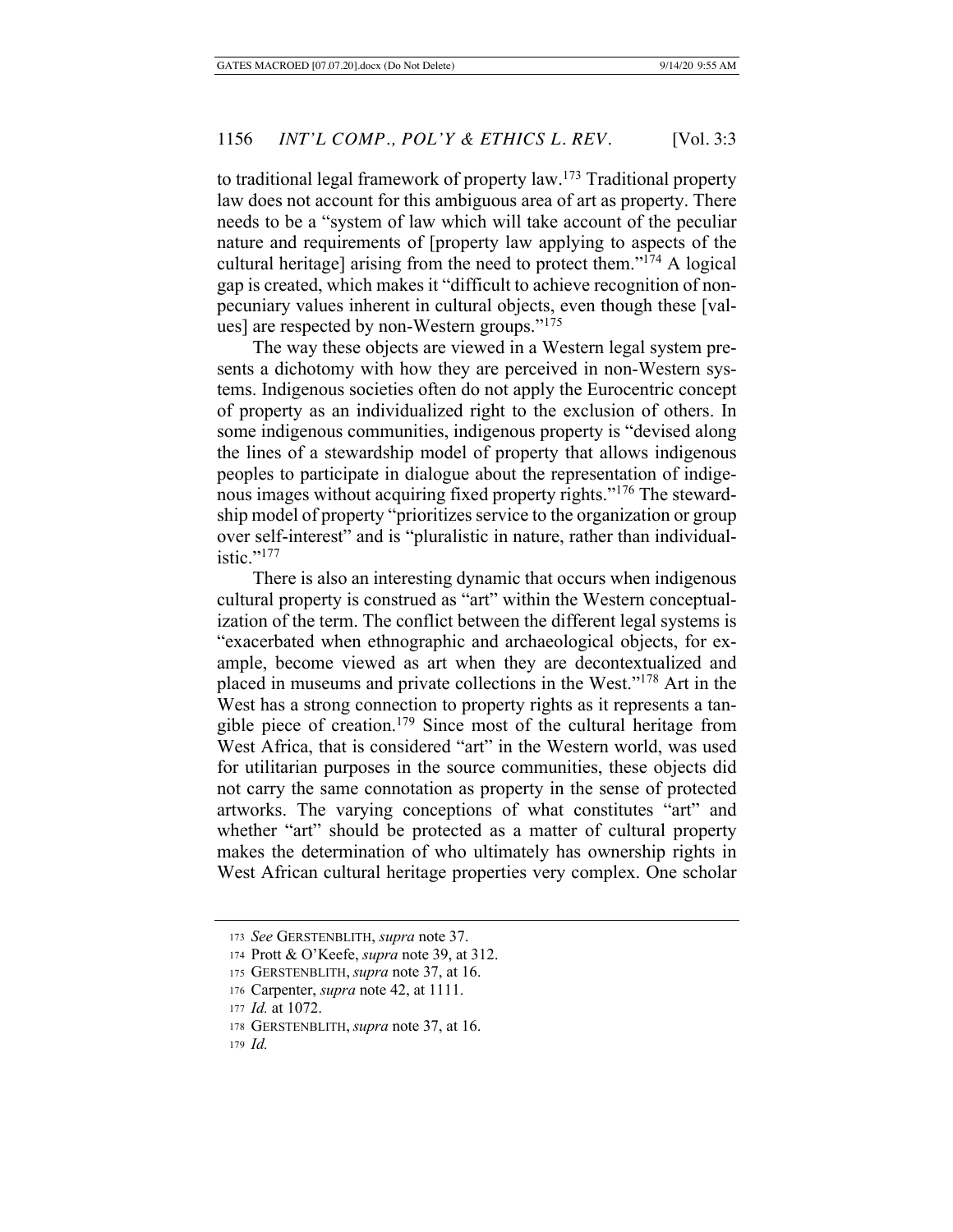to traditional legal framework of property law.173 Traditional property law does not account for this ambiguous area of art as property. There needs to be a "system of law which will take account of the peculiar nature and requirements of [property law applying to aspects of the cultural heritage] arising from the need to protect them."174 A logical gap is created, which makes it "difficult to achieve recognition of nonpecuniary values inherent in cultural objects, even though these [values] are respected by non-Western groups."175

The way these objects are viewed in a Western legal system presents a dichotomy with how they are perceived in non-Western systems. Indigenous societies often do not apply the Eurocentric concept of property as an individualized right to the exclusion of others. In some indigenous communities, indigenous property is "devised along the lines of a stewardship model of property that allows indigenous peoples to participate in dialogue about the representation of indigenous images without acquiring fixed property rights."<sup>176</sup> The stewardship model of property "prioritizes service to the organization or group over self-interest" and is "pluralistic in nature, rather than individualistic." $177$ 

There is also an interesting dynamic that occurs when indigenous cultural property is construed as "art" within the Western conceptualization of the term. The conflict between the different legal systems is "exacerbated when ethnographic and archaeological objects, for example, become viewed as art when they are decontextualized and placed in museums and private collections in the West."178 Art in the West has a strong connection to property rights as it represents a tangible piece of creation.<sup>179</sup> Since most of the cultural heritage from West Africa, that is considered "art" in the Western world, was used for utilitarian purposes in the source communities, these objects did not carry the same connotation as property in the sense of protected artworks. The varying conceptions of what constitutes "art" and whether "art" should be protected as a matter of cultural property makes the determination of who ultimately has ownership rights in West African cultural heritage properties very complex. One scholar

<sup>173</sup> *See* GERSTENBLITH, *supra* note 37.

<sup>174</sup> Prott & O'Keefe, *supra* note 39, at 312.

<sup>175</sup> GERSTENBLITH, *supra* note 37, at 16.

<sup>176</sup> Carpenter, *supra* note 42, at 1111.

<sup>177</sup> *Id.* at 1072.

<sup>178</sup> GERSTENBLITH, *supra* note 37, at 16.

<sup>179</sup> *Id.*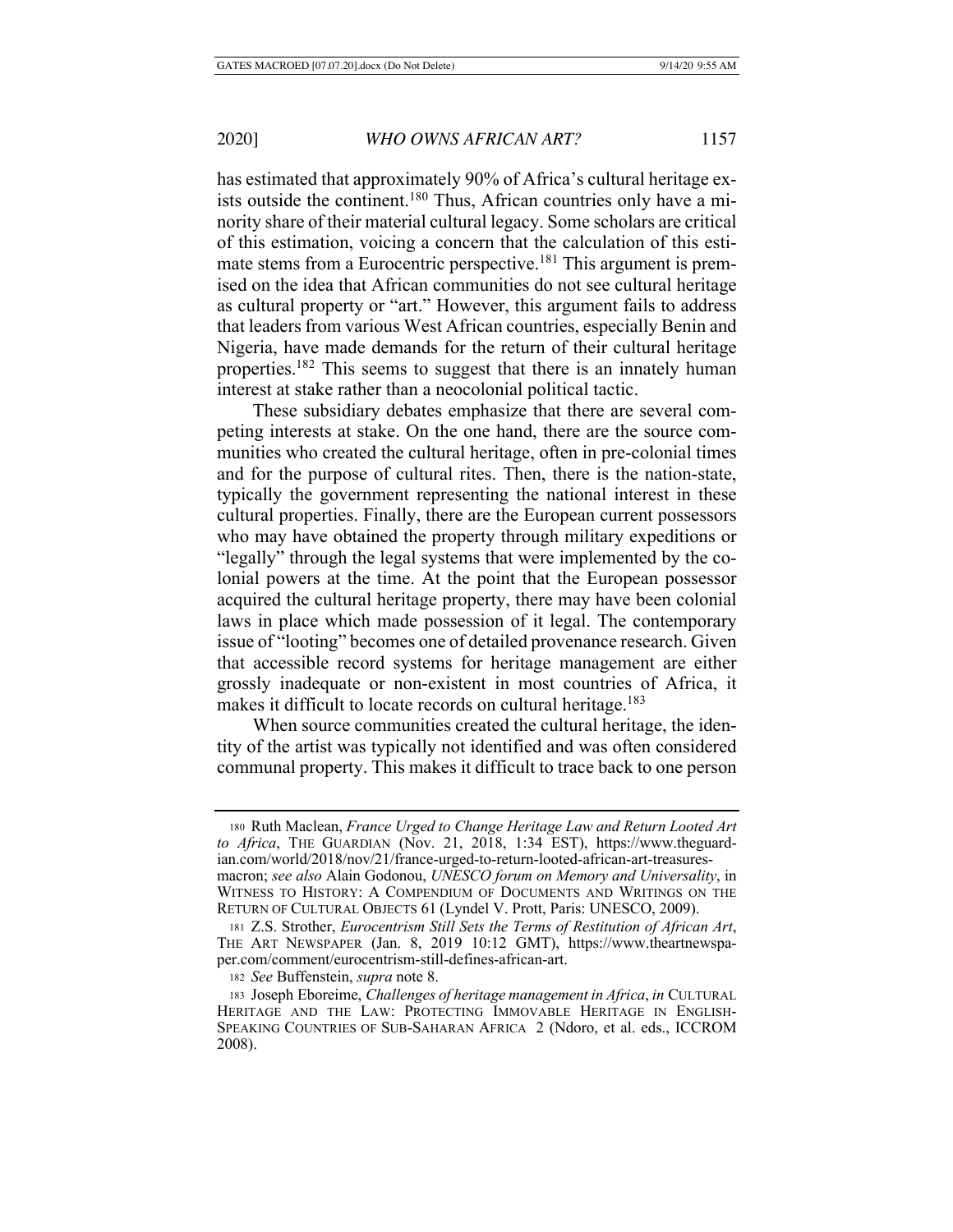has estimated that approximately 90% of Africa's cultural heritage exists outside the continent.<sup>180</sup> Thus, African countries only have a minority share of their material cultural legacy. Some scholars are critical of this estimation, voicing a concern that the calculation of this estimate stems from a Eurocentric perspective.<sup>181</sup> This argument is premised on the idea that African communities do not see cultural heritage as cultural property or "art." However, this argument fails to address that leaders from various West African countries, especially Benin and Nigeria, have made demands for the return of their cultural heritage properties.182 This seems to suggest that there is an innately human interest at stake rather than a neocolonial political tactic.

These subsidiary debates emphasize that there are several competing interests at stake. On the one hand, there are the source communities who created the cultural heritage, often in pre-colonial times and for the purpose of cultural rites. Then, there is the nation-state, typically the government representing the national interest in these cultural properties. Finally, there are the European current possessors who may have obtained the property through military expeditions or "legally" through the legal systems that were implemented by the colonial powers at the time. At the point that the European possessor acquired the cultural heritage property, there may have been colonial laws in place which made possession of it legal. The contemporary issue of "looting" becomes one of detailed provenance research. Given that accessible record systems for heritage management are either grossly inadequate or non-existent in most countries of Africa, it makes it difficult to locate records on cultural heritage.<sup>183</sup>

When source communities created the cultural heritage, the identity of the artist was typically not identified and was often considered communal property. This makes it difficult to trace back to one person

<sup>182</sup> *See* Buffenstein, *supra* note 8.

<sup>180</sup> Ruth Maclean, *France Urged to Change Heritage Law and Return Looted Art to Africa*, THE GUARDIAN (Nov. 21, 2018, 1:34 EST), https://www.theguardian.com/world/2018/nov/21/france-urged-to-return-looted-african-art-treasuresmacron; *see also* Alain Godonou, *UNESCO forum on Memory and Universality*, in WITNESS TO HISTORY: A COMPENDIUM OF DOCUMENTS AND WRITINGS ON THE RETURN OF CULTURAL OBJECTS 61 (Lyndel V. Prott, Paris: UNESCO, 2009).

<sup>181</sup> Z.S. Strother, *Eurocentrism Still Sets the Terms of Restitution of African Art*, THE ART NEWSPAPER (Jan. 8, 2019 10:12 GMT), https://www.theartnewspaper.com/comment/eurocentrism-still-defines-african-art.

<sup>183</sup> Joseph Eboreime, *Challenges of heritage management in Africa*, *in* CULTURAL HERITAGE AND THE LAW: PROTECTING IMMOVABLE HERITAGE IN ENGLISH-SPEAKING COUNTRIES OF SUB-SAHARAN AFRICA 2 (Ndoro, et al. eds., ICCROM 2008).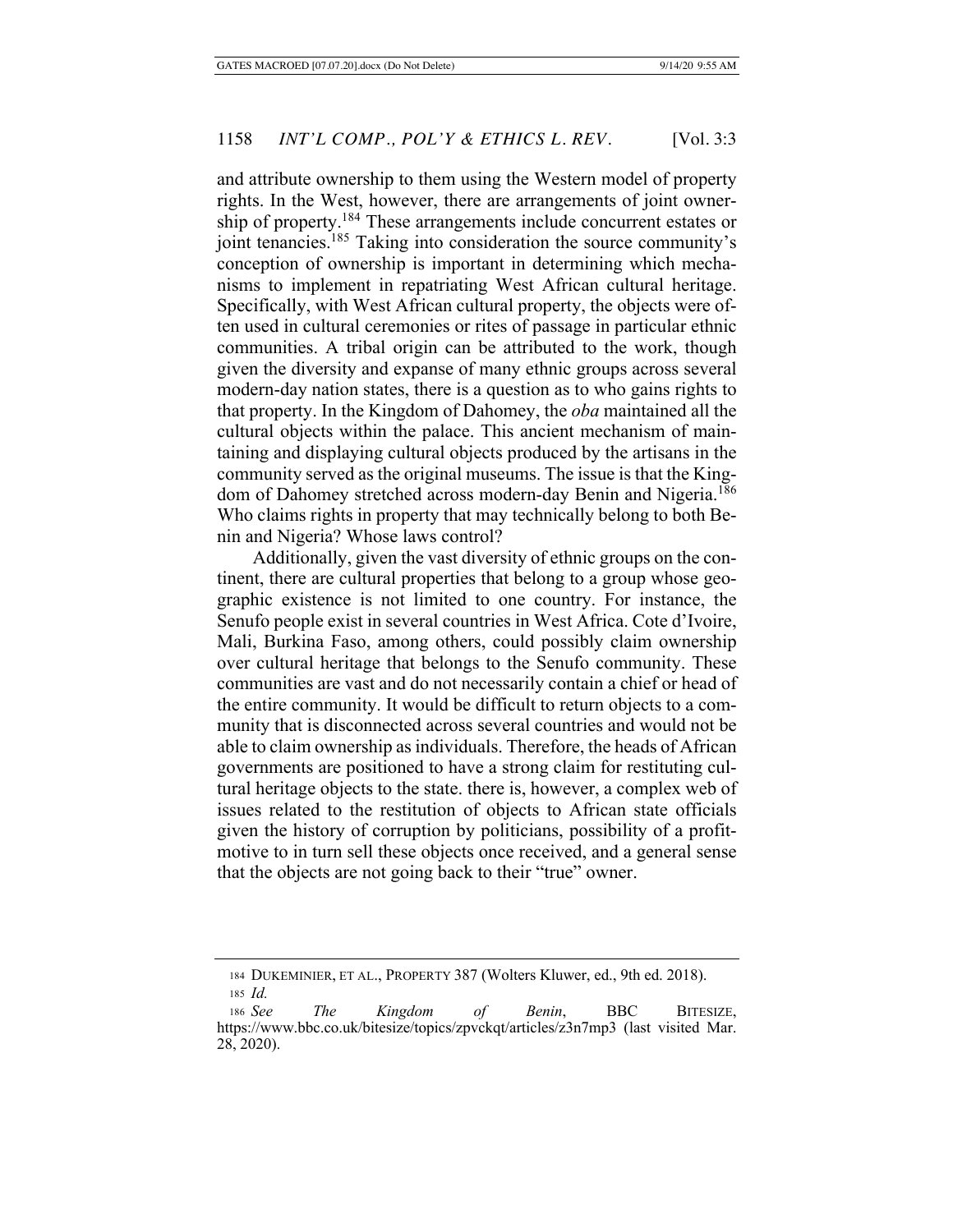and attribute ownership to them using the Western model of property rights. In the West, however, there are arrangements of joint ownership of property.<sup>184</sup> These arrangements include concurrent estates or joint tenancies.<sup>185</sup> Taking into consideration the source community's conception of ownership is important in determining which mechanisms to implement in repatriating West African cultural heritage. Specifically, with West African cultural property, the objects were often used in cultural ceremonies or rites of passage in particular ethnic communities. A tribal origin can be attributed to the work, though given the diversity and expanse of many ethnic groups across several modern-day nation states, there is a question as to who gains rights to that property. In the Kingdom of Dahomey, the *oba* maintained all the cultural objects within the palace. This ancient mechanism of maintaining and displaying cultural objects produced by the artisans in the community served as the original museums. The issue is that the Kingdom of Dahomey stretched across modern-day Benin and Nigeria.<sup>186</sup> Who claims rights in property that may technically belong to both Benin and Nigeria? Whose laws control?

Additionally, given the vast diversity of ethnic groups on the continent, there are cultural properties that belong to a group whose geographic existence is not limited to one country. For instance, the Senufo people exist in several countries in West Africa. Cote d'Ivoire, Mali, Burkina Faso, among others, could possibly claim ownership over cultural heritage that belongs to the Senufo community. These communities are vast and do not necessarily contain a chief or head of the entire community. It would be difficult to return objects to a community that is disconnected across several countries and would not be able to claim ownership as individuals. Therefore, the heads of African governments are positioned to have a strong claim for restituting cultural heritage objects to the state. there is, however, a complex web of issues related to the restitution of objects to African state officials given the history of corruption by politicians, possibility of a profitmotive to in turn sell these objects once received, and a general sense that the objects are not going back to their "true" owner.

<sup>184</sup> DUKEMINIER, ET AL., PROPERTY 387 (Wolters Kluwer, ed., 9th ed. 2018).

<sup>185</sup> *Id.*

<sup>186</sup> *See The Kingdom of Benin*, BBC BITESIZE, https://www.bbc.co.uk/bitesize/topics/zpvckqt/articles/z3n7mp3 (last visited Mar. 28, 2020).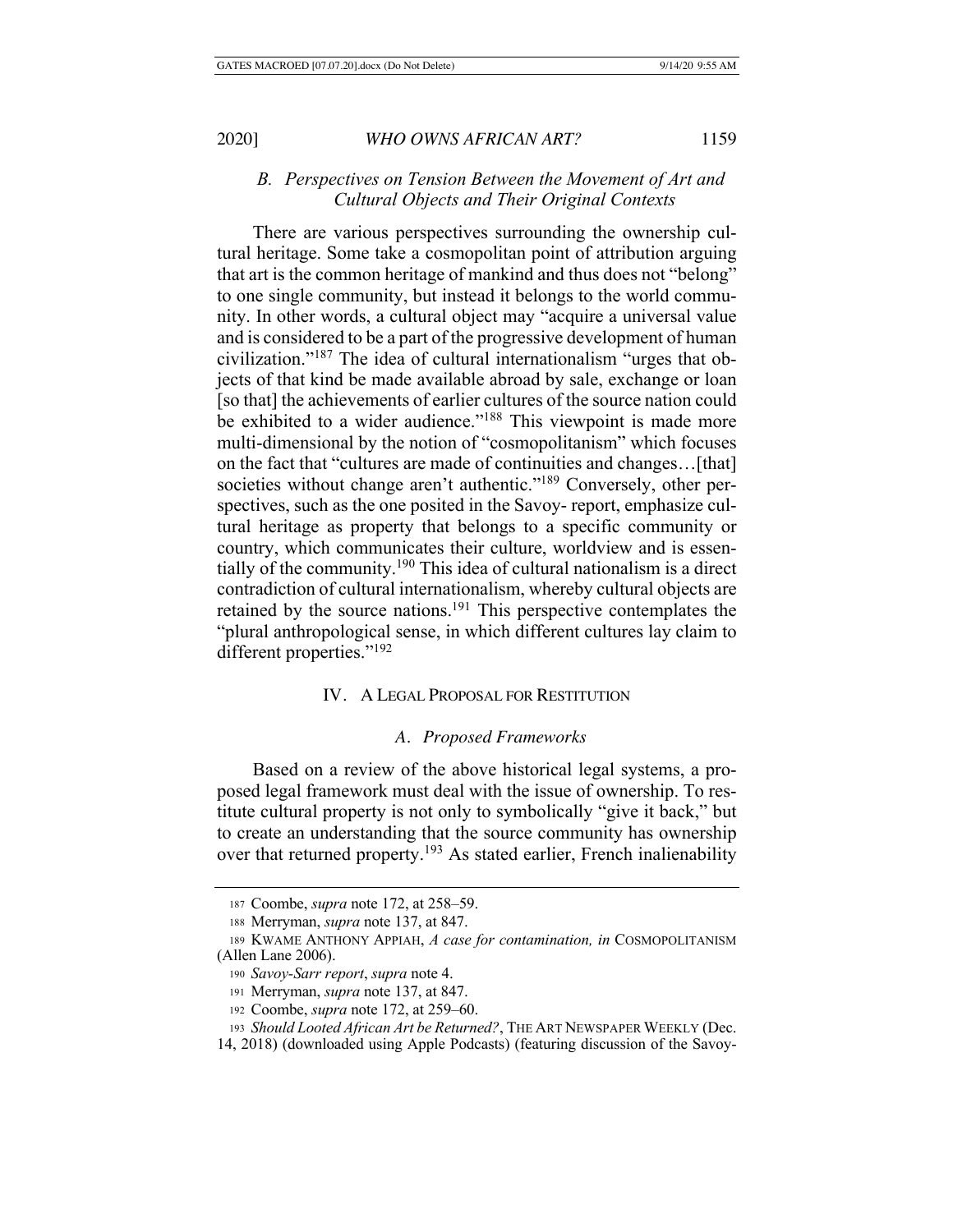# *B. Perspectives on Tension Between the Movement of Art and Cultural Objects and Their Original Contexts*

There are various perspectives surrounding the ownership cultural heritage. Some take a cosmopolitan point of attribution arguing that art is the common heritage of mankind and thus does not "belong" to one single community, but instead it belongs to the world community. In other words, a cultural object may "acquire a universal value and is considered to be a part of the progressive development of human civilization."187 The idea of cultural internationalism "urges that objects of that kind be made available abroad by sale, exchange or loan [so that] the achievements of earlier cultures of the source nation could be exhibited to a wider audience."<sup>188</sup> This viewpoint is made more multi-dimensional by the notion of "cosmopolitanism" which focuses on the fact that "cultures are made of continuities and changes…[that] societies without change aren't authentic."<sup>189</sup> Conversely, other perspectives, such as the one posited in the Savoy- report, emphasize cultural heritage as property that belongs to a specific community or country, which communicates their culture, worldview and is essentially of the community.190 This idea of cultural nationalism is a direct contradiction of cultural internationalism, whereby cultural objects are retained by the source nations.<sup>191</sup> This perspective contemplates the "plural anthropological sense, in which different cultures lay claim to different properties."192

# IV. A LEGAL PROPOSAL FOR RESTITUTION

# *A. Proposed Frameworks*

Based on a review of the above historical legal systems, a proposed legal framework must deal with the issue of ownership. To restitute cultural property is not only to symbolically "give it back," but to create an understanding that the source community has ownership over that returned property.<sup>193</sup> As stated earlier, French inalienability

<sup>187</sup> Coombe, *supra* note 172, at 258–59.

<sup>188</sup> Merryman, *supra* note 137, at 847.

<sup>189</sup> KWAME ANTHONY APPIAH, *A case for contamination, in* COSMOPOLITANISM (Allen Lane 2006).

<sup>190</sup> *Savoy-Sarr report*, *supra* note 4.

<sup>191</sup> Merryman, *supra* note 137, at 847.

<sup>192</sup> Coombe, *supra* note 172, at 259–60.

<sup>193</sup> *Should Looted African Art be Returned?*, THE ART NEWSPAPER WEEKLY (Dec.

<sup>14, 2018) (</sup>downloaded using Apple Podcasts) (featuring discussion of the Savoy-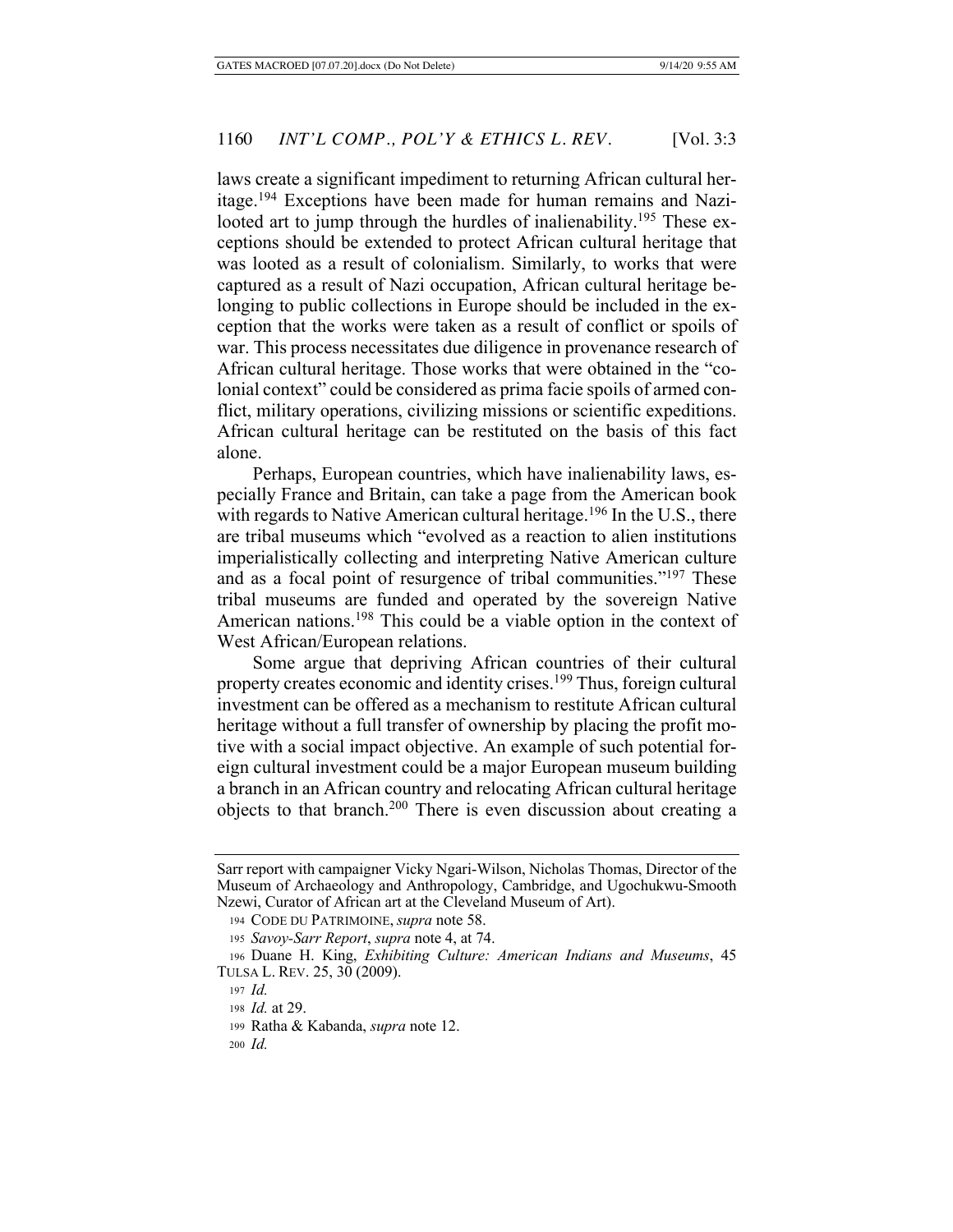laws create a significant impediment to returning African cultural heritage.194 Exceptions have been made for human remains and Nazilooted art to jump through the hurdles of inalienability.<sup>195</sup> These exceptions should be extended to protect African cultural heritage that was looted as a result of colonialism. Similarly, to works that were captured as a result of Nazi occupation, African cultural heritage belonging to public collections in Europe should be included in the exception that the works were taken as a result of conflict or spoils of war. This process necessitates due diligence in provenance research of African cultural heritage. Those works that were obtained in the "colonial context" could be considered as prima facie spoils of armed conflict, military operations, civilizing missions or scientific expeditions. African cultural heritage can be restituted on the basis of this fact alone.

Perhaps, European countries, which have inalienability laws, especially France and Britain, can take a page from the American book with regards to Native American cultural heritage.<sup>196</sup> In the U.S., there are tribal museums which "evolved as a reaction to alien institutions imperialistically collecting and interpreting Native American culture and as a focal point of resurgence of tribal communities."197 These tribal museums are funded and operated by the sovereign Native American nations.<sup>198</sup> This could be a viable option in the context of West African/European relations.

Some argue that depriving African countries of their cultural property creates economic and identity crises.<sup>199</sup> Thus, foreign cultural investment can be offered as a mechanism to restitute African cultural heritage without a full transfer of ownership by placing the profit motive with a social impact objective. An example of such potential foreign cultural investment could be a major European museum building a branch in an African country and relocating African cultural heritage objects to that branch.200 There is even discussion about creating a

Sarr report with campaigner Vicky Ngari-Wilson, Nicholas Thomas, Director of the Museum of Archaeology and Anthropology, Cambridge, and Ugochukwu-Smooth Nzewi, Curator of African art at the Cleveland Museum of Art).

<sup>194</sup> CODE DU PATRIMOINE, *supra* note 58.

<sup>195</sup> *Savoy-Sarr Report*, *supra* note 4, at 74.

<sup>196</sup> Duane H. King, *Exhibiting Culture: American Indians and Museums*, 45 TULSA L. REV. 25, 30 (2009).

<sup>197</sup> *Id.*

<sup>198</sup> *Id.* at 29.

<sup>199</sup> Ratha & Kabanda, *supra* note 12.

<sup>200</sup> *Id.*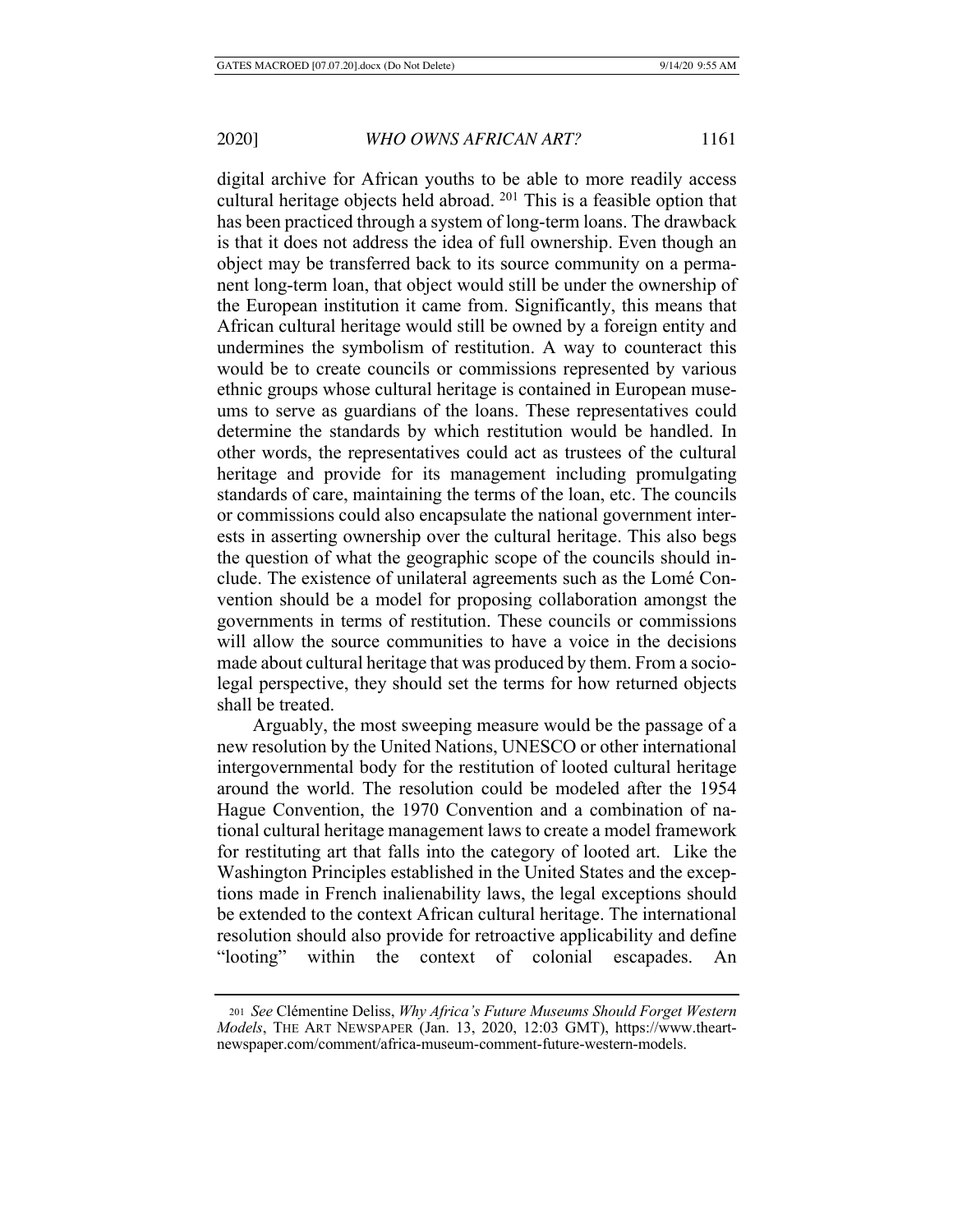digital archive for African youths to be able to more readily access cultural heritage objects held abroad. 201 This is a feasible option that has been practiced through a system of long-term loans. The drawback is that it does not address the idea of full ownership. Even though an object may be transferred back to its source community on a permanent long-term loan, that object would still be under the ownership of the European institution it came from. Significantly, this means that African cultural heritage would still be owned by a foreign entity and undermines the symbolism of restitution. A way to counteract this would be to create councils or commissions represented by various ethnic groups whose cultural heritage is contained in European museums to serve as guardians of the loans. These representatives could determine the standards by which restitution would be handled. In other words, the representatives could act as trustees of the cultural heritage and provide for its management including promulgating standards of care, maintaining the terms of the loan, etc. The councils or commissions could also encapsulate the national government interests in asserting ownership over the cultural heritage. This also begs the question of what the geographic scope of the councils should include. The existence of unilateral agreements such as the Lomé Convention should be a model for proposing collaboration amongst the governments in terms of restitution. These councils or commissions will allow the source communities to have a voice in the decisions made about cultural heritage that was produced by them. From a sociolegal perspective, they should set the terms for how returned objects shall be treated.

Arguably, the most sweeping measure would be the passage of a new resolution by the United Nations, UNESCO or other international intergovernmental body for the restitution of looted cultural heritage around the world. The resolution could be modeled after the 1954 Hague Convention, the 1970 Convention and a combination of national cultural heritage management laws to create a model framework for restituting art that falls into the category of looted art. Like the Washington Principles established in the United States and the exceptions made in French inalienability laws, the legal exceptions should be extended to the context African cultural heritage. The international resolution should also provide for retroactive applicability and define "looting" within the context of colonial escapades. An

<sup>201</sup> *See* Clémentine Deliss, *Why Africa's Future Museums Should Forget Western Models*, THE ART NEWSPAPER (Jan. 13, 2020, 12:03 GMT), https://www.theartnewspaper.com/comment/africa-museum-comment-future-western-models.